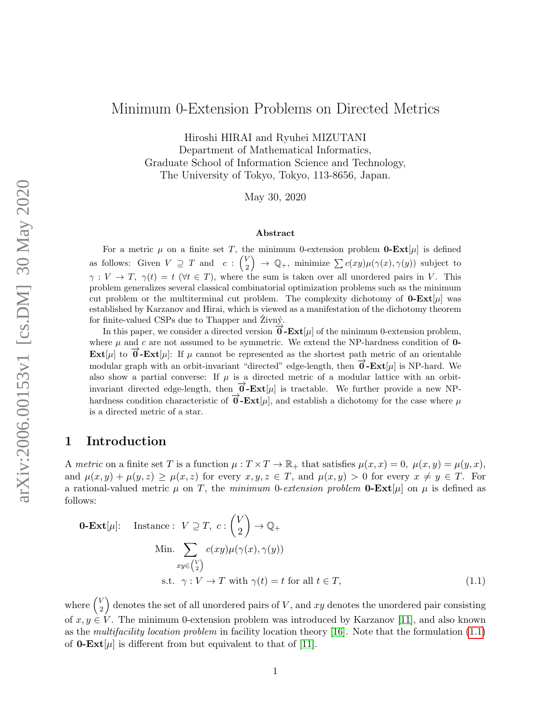# Minimum 0-Extension Problems on Directed Metrics

Hiroshi HIRAI and Ryuhei MIZUTANI Department of Mathematical Informatics, Graduate School of Information Science and Technology, The University of Tokyo, Tokyo, 113-8656, Japan.

May 30, 2020

#### Abstract

For a metric  $\mu$  on a finite set T, the minimum 0-extension problem **0-Ext**[ $\mu$ ] is defined as follows: Given  $V \supseteq T$  and  $c : {V \choose 2}$  $\binom{V}{2} \rightarrow \mathbb{Q}_+$ , minimize  $\sum c(xy)\mu(\gamma(x), \gamma(y))$  subject to  $\gamma: V \to T$ ,  $\gamma(t) = t$  ( $\forall t \in T$ ), where the sum is taken over all unordered pairs in V. This problem generalizes several classical combinatorial optimization problems such as the minimum cut problem or the multiterminal cut problem. The complexity dichotomy of  $0$ -Ext[ $\mu$ ] was established by Karzanov and Hirai, which is viewed as a manifestation of the dichotomy theorem for finite-valued CSPs due to Thapper and Zivný.

In this paper, we consider a directed version  $\vec{\mathbf{0}}$ -**Ext**[ $\mu$ ] of the minimum 0-extension problem, where  $\mu$  and  $c$  are not assumed to be symmetric. We extend the NP-hardness condition of 0-**Ext**[ $\mu$ ] to  $\vec{\theta}$ -**Ext**[ $\mu$ ]: If  $\mu$  cannot be represented as the shortest path metric of an orientable modular graph with an orbit-invariant "directed" edge-length, then  $\vec{\theta}$ -**Ext**[ $\mu$ ] is NP-hard. We also show a partial converse: If  $\mu$  is a directed metric of a modular lattice with an orbitinvariant directed edge-length, then  $\vec{\theta}$ -**Ext**[ $\mu$ ] is tractable. We further provide a new NPhardness condition characteristic of  $\vec{\theta}$ -**Ext**[µ], and establish a dichotomy for the case where µ is a directed metric of a star.

## 1 Introduction

A metric on a finite set T is a function  $\mu: T \times T \to \mathbb{R}_+$  that satisfies  $\mu(x, x) = 0$ ,  $\mu(x, y) = \mu(y, x)$ , and  $\mu(x, y) + \mu(y, z) \ge \mu(x, z)$  for every  $x, y, z \in T$ , and  $\mu(x, y) > 0$  for every  $x \ne y \in T$ . For a rational-valued metric  $\mu$  on T, the minimum 0-extension problem **0-Ext**[ $\mu$ ] on  $\mu$  is defined as follows:

<span id="page-0-0"></span>**0-Ext**[
$$
\mu
$$
]:  
\n
$$
\text{Instance: } V \supseteq T, \ c: \binom{V}{2} \to \mathbb{Q}_+
$$
\n
$$
\text{Min. } \sum_{xy \in \binom{V}{2}} c(xy)\mu(\gamma(x), \gamma(y))
$$
\n
$$
\text{s.t. } \gamma: V \to T \text{ with } \gamma(t) = t \text{ for all } t \in T,
$$
\n(1.1)

where  $\begin{pmatrix} V \\ 2 \end{pmatrix}$  $\binom{V}{2}$  denotes the set of all unordered pairs of V, and xy denotes the unordered pair consisting of  $x, y \in V$ . The minimum 0-extension problem was introduced by Karzanov [\[11\]](#page-24-0), and also known as the multifacility location problem in facility location theory [\[16\]](#page-25-0). Note that the formulation [\(1.1\)](#page-0-0) of **0-Ext**[ $\mu$ ] is different from but equivalent to that of [\[11\]](#page-24-0).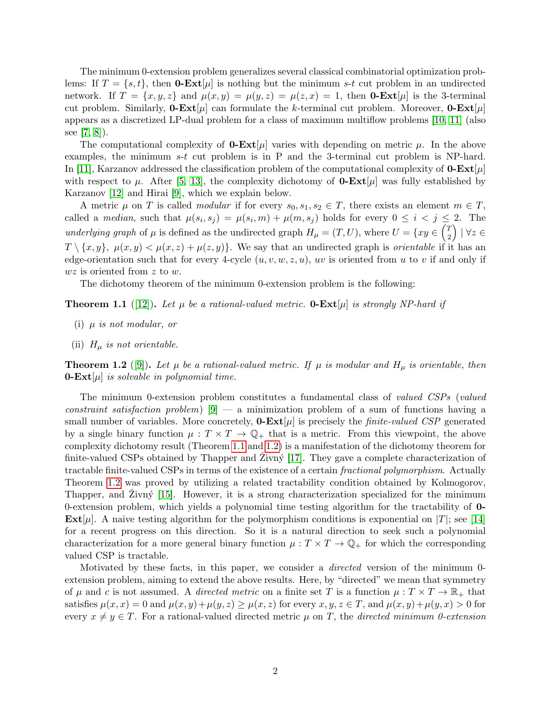The minimum 0-extension problem generalizes several classical combinatorial optimization problems: If  $T = \{s, t\}$ , then **0-Ext**[ $\mu$ ] is nothing but the minimum s-t cut problem in an undirected network. If  $T = \{x, y, z\}$  and  $\mu(x, y) = \mu(y, z) = \mu(z, x) = 1$ , then **0-Ext**[ $\mu$ ] is the 3-terminal cut problem. Similarly, **0-Ext**[ $\mu$ ] can formulate the k-terminal cut problem. Moreover, **0-Ext**[ $\mu$ ] appears as a discretized LP-dual problem for a class of maximum multiflow problems [\[10,](#page-24-1) [11\]](#page-24-0) (also see [\[7,](#page-24-2) [8\]](#page-24-3)).

The computational complexity of **0-Ext**[ $\mu$ ] varies with depending on metric  $\mu$ . In the above examples, the minimum s-t cut problem is in P and the 3-terminal cut problem is NP-hard. In [\[11\]](#page-24-0), Karzanov addressed the classification problem of the computational complexity of  $0$ -Ext[ $\mu$ ] with respect to  $\mu$ . After [\[5,](#page-24-4) [13\]](#page-24-5), the complexity dichotomy of **0-Ext**[ $\mu$ ] was fully established by Karzanov [\[12\]](#page-24-6) and Hirai [\[9\]](#page-24-7), which we explain below.

A metric  $\mu$  on T is called *modular* if for every  $s_0, s_1, s_2 \in T$ , there exists an element  $m \in T$ , called a *median*, such that  $\mu(s_i, s_j) = \mu(s_i, m) + \mu(m, s_j)$  holds for every  $0 \leq i \leq j \leq 2$ . The underlying graph of  $\mu$  is defined as the undirected graph  $H_{\mu} = (T, U)$ , where  $U = \{xy \in \binom{T}{2}$  $\binom{T}{2}$  |  $\forall z \in$  $T \setminus \{x, y\}, \mu(x, y) < \mu(x, z) + \mu(z, y)$ . We say that an undirected graph is *orientable* if it has an edge-orientation such that for every 4-cycle  $(u, v, w, z, u)$ , uv is oriented from u to v if and only if  $wz$  is oriented from z to w.

The dichotomy theorem of the minimum 0-extension problem is the following:

<span id="page-1-0"></span>**Theorem 1.1** ([\[12\]](#page-24-6)). Let  $\mu$  be a rational-valued metric. **0-Ext**  $|\mu|$  is strongly NP-hard if

- <span id="page-1-2"></span>(i)  $\mu$  is not modular, or
- <span id="page-1-3"></span>(ii)  $H_{\mu}$  is not orientable.

<span id="page-1-1"></span>**Theorem 1.2** ([\[9\]](#page-24-7)). Let  $\mu$  be a rational-valued metric. If  $\mu$  is modular and  $H_{\mu}$  is orientable, then **0-Ext** $[\mu]$  is solvable in polynomial time.

The minimum 0-extension problem constitutes a fundamental class of valued CSPs (valued constraint satisfaction problem)  $[9]$  — a minimization problem of a sum of functions having a small number of variables. More concretely,  $\mathbf{0}\text{-}\mathbf{Ext}[\mu]$  is precisely the *finite-valued CSP* generated by a single binary function  $\mu: T \times T \to \mathbb{Q}_+$  that is a metric. From this viewpoint, the above complexity dichotomy result (Theorem [1.1](#page-1-0) and [1.2\)](#page-1-1) is a manifestation of the dichotomy theorem for finite-valued CSPs obtained by Thapper and Zivný  $[17]$ . They gave a complete characterization of tractable finite-valued CSPs in terms of the existence of a certain fractional polymorphism. Actually Theorem [1.2](#page-1-1) was proved by utilizing a related tractability condition obtained by Kolmogorov, Thapper, and Zivný  $[15]$ . However, it is a strong characterization specialized for the minimum 0-extension problem, which yields a polynomial time testing algorithm for the tractability of 0- **Ext**[ $\mu$ ]. A naive testing algorithm for the polymorphism conditions is exponential on |T|; see [\[14\]](#page-25-3) for a recent progress on this direction. So it is a natural direction to seek such a polynomial characterization for a more general binary function  $\mu : T \times T \to \mathbb{Q}_+$  for which the corresponding valued CSP is tractable.

Motivated by these facts, in this paper, we consider a directed version of the minimum 0 extension problem, aiming to extend the above results. Here, by "directed" we mean that symmetry of  $\mu$  and c is not assumed. A *directed metric* on a finite set T is a function  $\mu: T \times T \to \mathbb{R}_+$  that satisfies  $\mu(x, x) = 0$  and  $\mu(x, y) + \mu(y, z) \geq \mu(x, z)$  for every  $x, y, z \in T$ , and  $\mu(x, y) + \mu(y, x) > 0$  for every  $x \neq y \in T$ . For a rational-valued directed metric  $\mu$  on T, the directed minimum 0-extension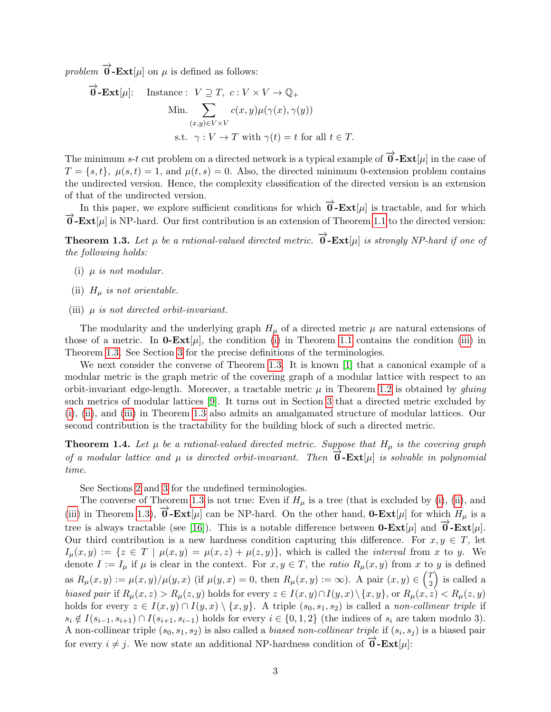problem  $\overrightarrow{0}$ -**Ext**[ $\mu$ ] on  $\mu$  is defined as follows:

$$
\overrightarrow{\mathbf{0}}\text{-}\mathbf{Ext}[\mu]: \quad \text{Instance}: \quad V \supseteq T, \quad c: V \times V \to \mathbb{Q}_+
$$
\n
$$
\text{Min.} \sum_{(x,y)\in V \times V} c(x,y)\mu(\gamma(x), \gamma(y))
$$
\n
$$
\text{s.t.} \quad \gamma: V \to T \text{ with } \gamma(t) = t \text{ for all } t \in T.
$$

The minimum s-t cut problem on a directed network is a typical example of  $\overrightarrow{0}$ -**Ext**[µ] in the case of  $T = \{s, t\}, \mu(s, t) = 1, \text{ and } \mu(t, s) = 0.$  Also, the directed minimum 0-extension problem contains the undirected version. Hence, the complexity classification of the directed version is an extension of that of the undirected version.

In this paper, we explore sufficient conditions for which  $\overrightarrow{0}$ -**Ext**[µ] is tractable, and for which  $\overrightarrow{0}$  -**Ext**[ $\mu$ ] is NP-hard. Our first contribution is an extension of Theorem [1.1](#page-1-0) to the directed version:

<span id="page-2-1"></span>**Theorem 1.3.** Let  $\mu$  be a rational-valued directed metric.  $\overrightarrow{0}$ - $\text{Ext}[\mu]$  is strongly NP-hard if one of the following holds:

- <span id="page-2-2"></span>(i)  $\mu$  is not modular.
- <span id="page-2-3"></span>(ii)  $H_{\mu}$  is not orientable.
- <span id="page-2-0"></span>(iii)  $\mu$  is not directed orbit-invariant.

The modularity and the underlying graph  $H_{\mu}$  of a directed metric  $\mu$  are natural extensions of those of a metric. In  $0$ -Ext[ $\mu$ ], the condition [\(i\)](#page-1-2) in Theorem [1.1](#page-1-0) contains the condition [\(iii\)](#page-2-0) in Theorem [1.3.](#page-2-1) See Section [3](#page-6-0) for the precise definitions of the terminologies.

We next consider the converse of Theorem [1.3.](#page-2-1) It is known [\[1\]](#page-24-8) that a canonical example of a modular metric is the graph metric of the covering graph of a modular lattice with respect to an orbit-invariant edge-length. Moreover, a tractable metric  $\mu$  in Theorem [1.2](#page-1-1) is obtained by *gluing* such metrics of modular lattices [\[9\]](#page-24-7). It turns out in Section [3](#page-6-0) that a directed metric excluded by [\(i\)](#page-2-2), [\(ii\)](#page-2-3), and [\(iii\)](#page-2-0) in Theorem [1.3](#page-2-1) also admits an amalgamated structure of modular lattices. Our second contribution is the tractability for the building block of such a directed metric.

<span id="page-2-4"></span>**Theorem 1.4.** Let  $\mu$  be a rational-valued directed metric. Suppose that  $H_{\mu}$  is the covering graph of a modular lattice and  $\mu$  is directed orbit-invariant. Then  $\overline{\mathbf{0}}$ -**Ext**[ $\mu$ ] is solvable in polynomial time.

See Sections [2](#page-3-0) and [3](#page-6-0) for the undefined terminologies.

The converse of Theorem [1.3](#page-2-1) is not true: Even if  $H<sub>\mu</sub>$  is a tree (that is excluded by [\(i\)](#page-2-2), [\(ii\)](#page-2-3), and [\(iii\)](#page-2-0) in Theorem [1.3\)](#page-2-1),  $\overrightarrow{0}$ -**Ext**[ $\mu$ ] can be NP-hard. On the other hand, **0-Ext**[ $\mu$ ] for which  $H_{\mu}$  is a tree is always tractable (see [\[16\]](#page-25-0)). This is a notable difference between **0-Ext**[µ] and  $\vec{0}$ -**Ext**[µ]. Our third contribution is a new hardness condition capturing this difference. For  $x, y \in T$ , let  $I_{\mu}(x,y) := \{z \in T \mid \mu(x,y) = \mu(x,z) + \mu(z,y)\},\$  which is called the *interval* from x to y. We denote  $I := I_\mu$  if  $\mu$  is clear in the context. For  $x, y \in T$ , the ratio  $R_\mu(x, y)$  from x to y is defined as  $R_{\mu}(x, y) := \mu(x, y) / \mu(y, x)$  (if  $\mu(y, x) = 0$ , then  $R_{\mu}(x, y) := \infty$ ). A pair  $(x, y) \in {\binom{T}{2}}$  $\binom{T}{2}$  is called a biased pair if  $R_\mu(x, z) > R_\mu(z, y)$  holds for every  $z \in I(x, y) \cap I(y, x) \setminus \{x, y\}$ , or  $R_\mu(x, z) < R_\mu(z, y)$ holds for every  $z \in I(x,y) \cap I(y,x) \setminus \{x,y\}$ . A triple  $(s_0, s_1, s_2)$  is called a non-collinear triple if  $s_i \notin I(s_{i-1}, s_{i+1}) \cap I(s_{i+1}, s_{i-1})$  holds for every  $i \in \{0, 1, 2\}$  (the indices of  $s_i$  are taken modulo 3). A non-collinear triple  $(s_0, s_1, s_2)$  is also called a *biased non-collinear triple* if  $(s_i, s_j)$  is a biased pair for every  $i \neq j$ . We now state an additional NP-hardness condition of  $\overrightarrow{0}$ -**Ext**[µ]: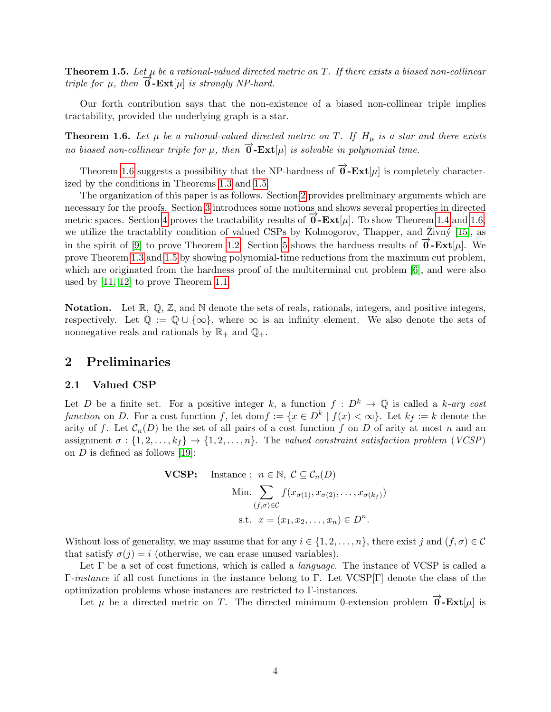<span id="page-3-2"></span>**Theorem 1.5.** Let  $\mu$  be a rational-valued directed metric on T. If there exists a biased non-collinear triple for  $\mu$ , then  $\mathbf{0}$ -Ext[ $\mu$ ] is strongly NP-hard.

Our forth contribution says that the non-existence of a biased non-collinear triple implies tractability, provided the underlying graph is a star.

<span id="page-3-1"></span>**Theorem 1.6.** Let  $\mu$  be a rational-valued directed metric on T. If  $H_{\mu}$  is a star and there exists no biased non-collinear triple for  $\mu$ , then  $\overrightarrow{0}$ -**Ext**[ $\mu$ ] is solvable in polynomial time.

Theorem [1.6](#page-3-1) suggests a possibility that the NP-hardness of  $\overrightarrow{0}$ -**Ext**[µ] is completely characterized by the conditions in Theorems [1.3](#page-2-1) and [1.5.](#page-3-2)

The organization of this paper is as follows. Section [2](#page-3-0) provides preliminary arguments which are necessary for the proofs. Section [3](#page-6-0) introduces some notions and shows several properties in directed metric spaces. Section [4](#page-10-0) proves the tractability results of  $\overrightarrow{0}$ -**Ext**[µ]. To show Theorem [1.4](#page-2-4) and [1.6,](#page-3-1) we utilize the tractablity condition of valued CSPs by Kolmogorov, Thapper, and Živný [\[15\]](#page-25-2), as in the spirit of [\[9\]](#page-24-7) to prove Theorem [1.2.](#page-1-1) Section [5](#page-15-0) shows the hardness results of  $\vec{\mathbf{0}}$ -**Ext**[µ]. We prove Theorem [1.3](#page-2-1) and [1.5](#page-3-2) by showing polynomial-time reductions from the maximum cut problem, which are originated from the hardness proof of the multiterminal cut problem [\[6\]](#page-24-9), and were also used by [\[11,](#page-24-0) [12\]](#page-24-6) to prove Theorem [1.1.](#page-1-0)

**Notation.** Let  $\mathbb{R}$ ,  $\mathbb{Q}$ ,  $\mathbb{Z}$ , and  $\mathbb{N}$  denote the sets of reals, rationals, integers, and positive integers, respectively. Let  $\overline{\mathbb{Q}} := \mathbb{Q} \cup \{\infty\}$ , where  $\infty$  is an infinity element. We also denote the sets of nonnegative reals and rationals by  $\mathbb{R}_+$  and  $\mathbb{Q}_+$ .

## <span id="page-3-0"></span>2 Preliminaries

### 2.1 Valued CSP

Let D be a finite set. For a positive integer k, a function  $f: D^k \to \overline{\mathbb{Q}}$  is called a k-ary cost function on D. For a cost function f, let  $\text{dom } f := \{x \in D^k \mid f(x) < \infty\}$ . Let  $k_f := k$  denote the arity of f. Let  $\mathcal{C}_n(D)$  be the set of all pairs of a cost function f on D of arity at most n and an assignment  $\sigma : \{1, 2, \ldots, k_f\} \rightarrow \{1, 2, \ldots, n\}$ . The valued constraint satisfaction problem (VCSP) on  $D$  is defined as follows [\[19\]](#page-25-4):

VCSP: instance: 
$$
n \in \mathbb{N}
$$
,  $C \subseteq C_n(D)$   
Min.  $\sum_{(f,\sigma)\in C} f(x_{\sigma(1)}, x_{\sigma(2)}, \dots, x_{\sigma(k_f)})$   
s.t.  $x = (x_1, x_2, \dots, x_n) \in D^n$ .

Without loss of generality, we may assume that for any  $i \in \{1, 2, \ldots, n\}$ , there exist j and  $(f, \sigma) \in \mathcal{C}$ that satisfy  $\sigma(j) = i$  (otherwise, we can erase unused variables).

Let  $\Gamma$  be a set of cost functions, which is called a *language*. The instance of VCSP is called a Γ-instance if all cost functions in the instance belong to Γ. Let VCSP[Γ] denote the class of the optimization problems whose instances are restricted to Γ-instances.

Let  $\mu$  be a directed metric on T. The directed minimum 0-extension problem  $\vec{\theta}$ -**Ext**[ $\mu$ ] is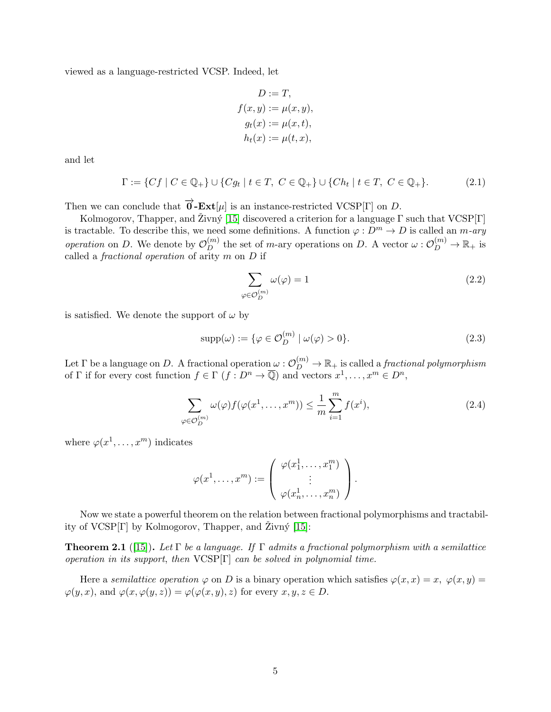viewed as a language-restricted VCSP. Indeed, let

<span id="page-4-0"></span>
$$
D := T,
$$
  
\n
$$
f(x, y) := \mu(x, y),
$$
  
\n
$$
g_t(x) := \mu(x, t),
$$
  
\n
$$
h_t(x) := \mu(t, x),
$$

and let

$$
\Gamma := \{ Cf \mid C \in \mathbb{Q}_+ \} \cup \{ Cg_t \mid t \in T, C \in \mathbb{Q}_+ \} \cup \{ Ch_t \mid t \in T, C \in \mathbb{Q}_+ \}. \tag{2.1}
$$

Then we can conclude that  $\vec{\mathbf{0}}$ -**Ext**[ $\mu$ ] is an instance-restricted VCSP[Γ] on D.

Kolmogorov, Thapper, and Živný [\[15\]](#page-25-2) discovered a criterion for a language  $\Gamma$  such that VCSP[Γ] is tractable. To describe this, we need some definitions. A function  $\varphi : D^m \to D$  is called an m-ary operation on D. We denote by  $\mathcal{O}_D^{(m)}$  the set of m-ary operations on D. A vector  $\omega: \mathcal{O}_D^{(m)} \to \mathbb{R}_+$  is called a *fractional operation* of arity  $m$  on  $D$  if

$$
\sum_{\varphi \in \mathcal{O}_D^{(m)}} \omega(\varphi) = 1 \tag{2.2}
$$

is satisfied. We denote the support of  $\omega$  by

$$
supp(\omega) := \{ \varphi \in \mathcal{O}_D^{(m)} \mid \omega(\varphi) > 0 \}.
$$
\n(2.3)

Let  $\Gamma$  be a language on  $D$ . A fractional operation  $\omega: \mathcal O_D^{(m)} \to \mathbb R_+$  is called a *fractional polymorphism* of  $\Gamma$  if for every cost function  $f \in \Gamma$   $(f : D<sup>n</sup> \to \overline{\mathbb{Q}})$  and vectors  $x<sup>1</sup>, \ldots, x<sup>m</sup> \in D<sup>n</sup>$ ,

$$
\sum_{\varphi \in \mathcal{O}_D^{(m)}} \omega(\varphi) f(\varphi(x^1, \dots, x^m)) \le \frac{1}{m} \sum_{i=1}^m f(x^i),\tag{2.4}
$$

where  $\varphi(x^1, \ldots, x^m)$  indicates

$$
\varphi(x^1,\ldots,x^m):=\left(\begin{array}{c}\varphi(x_1^1,\ldots,x_1^m)\\\vdots\\\varphi(x_n^1,\ldots,x_n^m)\end{array}\right).
$$

Now we state a powerful theorem on the relation between fractional polymorphisms and tractability of  $VCSP[\Gamma]$  by Kolmogorov, Thapper, and Zivný [\[15\]](#page-25-2):

<span id="page-4-1"></span>**Theorem 2.1** ([\[15\]](#page-25-2)). Let  $\Gamma$  be a language. If  $\Gamma$  admits a fractional polymorphism with a semilattice operation in its support, then  $VCSP[\Gamma]$  can be solved in polynomial time.

Here a semilattice operation  $\varphi$  on D is a binary operation which satisfies  $\varphi(x, x) = x$ ,  $\varphi(x, y) = x$  $\varphi(y, x)$ , and  $\varphi(x, \varphi(y, z)) = \varphi(\varphi(x, y), z)$  for every  $x, y, z \in D$ .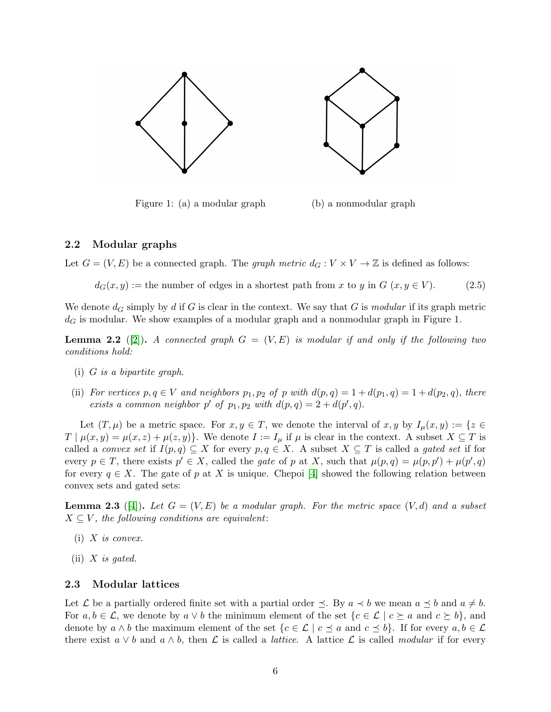

Figure 1: (a) a modular graph (b) a nonmodular graph

### 2.2 Modular graphs

Let  $G = (V, E)$  be a connected graph. The *graph metric*  $d_G : V \times V \to \mathbb{Z}$  is defined as follows:

 $d_G(x, y) :=$  the number of edges in a shortest path from x to y in  $G(x, y \in V)$ . (2.5)

We denote  $d_G$  simply by d if G is clear in the context. We say that G is modular if its graph metric  $d<sub>G</sub>$  is modular. We show examples of a modular graph and a nonmodular graph in Figure 1.

<span id="page-5-1"></span>**Lemma 2.2** ([\[2\]](#page-24-10)). A connected graph  $G = (V, E)$  is modular if and only if the following two conditions hold:

- (i) G is a bipartite graph.
- (ii) For vertices  $p, q \in V$  and neighbors  $p_1, p_2$  of p with  $d(p, q) = 1 + d(p_1, q) = 1 + d(p_2, q)$ , there exists a common neighbor p' of  $p_1, p_2$  with  $d(p, q) = 2 + d(p', q)$ .

Let  $(T, \mu)$  be a metric space. For  $x, y \in T$ , we denote the interval of  $x, y$  by  $I_{\mu}(x, y) := \{z \in$  $T \mid \mu(x, y) = \mu(x, z) + \mu(z, y)$ . We denote  $I := I_\mu$  if  $\mu$  is clear in the context. A subset  $X \subseteq T$  is called a *convex set* if  $I(p,q) \subseteq X$  for every  $p,q \in X$ . A subset  $X \subseteq T$  is called a *gated set* if for every  $p \in T$ , there exists  $p' \in X$ , called the *gate* of p at X, such that  $\mu(p,q) = \mu(p,p') + \mu(p',q)$ for every  $q \in X$ . The gate of p at X is unique. Chepoi [\[4\]](#page-24-11) showed the following relation between convex sets and gated sets:

<span id="page-5-0"></span>**Lemma 2.3** ([\[4\]](#page-24-11)). Let  $G = (V, E)$  be a modular graph. For the metric space  $(V, d)$  and a subset  $X \subseteq V$ , the following conditions are equivalent:

- $(i)$  X is convex.
- (ii)  $X$  is gated.

### 2.3 Modular lattices

Let L be a partially ordered finite set with a partial order  $\preceq$ . By  $a \prec b$  we mean  $a \preceq b$  and  $a \neq b$ . For  $a, b \in \mathcal{L}$ , we denote by  $a \vee b$  the minimum element of the set  $\{c \in \mathcal{L} \mid c \succeq a \text{ and } c \succeq b\}$ , and denote by  $a \wedge b$  the maximum element of the set  $\{c \in \mathcal{L} \mid c \preceq a \text{ and } c \preceq b\}$ . If for every  $a, b \in \mathcal{L}$ there exist  $a \vee b$  and  $a \wedge b$ , then  $\mathcal L$  is called a *lattice*. A lattice  $\mathcal L$  is called modular if for every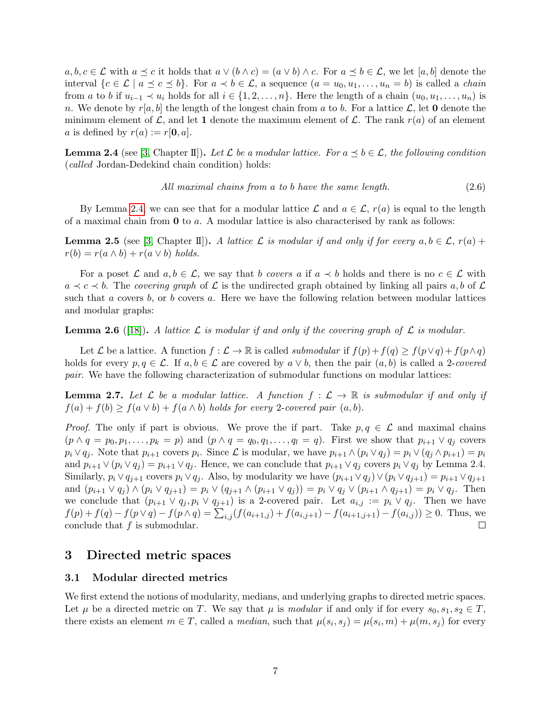$a, b, c \in \mathcal{L}$  with  $a \preceq c$  it holds that  $a \vee (b \wedge c) = (a \vee b) \wedge c$ . For  $a \preceq b \in \mathcal{L}$ , we let  $[a, b]$  denote the interval  $\{c \in \mathcal{L} \mid a \preceq c \preceq b\}$ . For  $a \prec b \in \mathcal{L}$ , a sequence  $(a = u_0, u_1, \ldots, u_n = b)$  is called a *chain* from a to b if  $u_{i-1} \prec u_i$  holds for all  $i \in \{1, 2, \ldots, n\}$ . Here the length of a chain  $(u_0, u_1, \ldots, u_n)$  is n. We denote by  $r[a, b]$  the length of the longest chain from a to b. For a lattice  $\mathcal{L}$ , let **0** denote the minimum element of  $\mathcal{L}$ , and let 1 denote the maximum element of  $\mathcal{L}$ . The rank  $r(a)$  of an element a is defined by  $r(a) := r[0, a]$ .

<span id="page-6-1"></span>**Lemma 2.4** (see [\[3,](#page-24-12) Chapter II]). Let L be a modular lattice. For  $a \leq b \in \mathcal{L}$ , the following condition (called Jordan-Dedekind chain condition) holds:

$$
All maximal chains from a to b have the same length. \tag{2.6}
$$

By Lemma [2.4,](#page-6-1) we can see that for a modular lattice  $\mathcal L$  and  $a \in \mathcal L$ ,  $r(a)$  is equal to the length of a maximal chain from  $\bf{0}$  to a. A modular lattice is also characterised by rank as follows:

**Lemma 2.5** (see [\[3,](#page-24-12) Chapter II]). A lattice L is modular if and only if for every  $a, b \in \mathcal{L}$ ,  $r(a)$  +  $r(b) = r(a \wedge b) + r(a \vee b)$  holds.

For a poset L and  $a, b \in \mathcal{L}$ , we say that b covers a if  $a \prec b$  holds and there is no  $c \in \mathcal{L}$  with  $a \prec c \prec b$ . The covering graph of  $\mathcal L$  is the undirected graph obtained by linking all pairs a, b of  $\mathcal L$ such that a covers b, or b covers a. Here we have the following relation between modular lattices and modular graphs:

**Lemma 2.6** ([\[18\]](#page-25-5)). A lattice L is modular if and only if the covering graph of L is modular.

Let  $\mathcal L$  be a lattice. A function  $f : \mathcal L \to \mathbb R$  is called submodular if  $f(p) + f(q) \geq f(p \vee q) + f(p \wedge q)$ holds for every  $p, q \in \mathcal{L}$ . If  $a, b \in \mathcal{L}$  are covered by  $a \vee b$ , then the pair  $(a, b)$  is called a 2-covered pair. We have the following characterization of submodular functions on modular lattices:

<span id="page-6-2"></span>**Lemma 2.7.** Let  $\mathcal L$  be a modular lattice. A function  $f: \mathcal L \to \mathbb R$  is submodular if and only if  $f(a) + f(b) \ge f(a \vee b) + f(a \wedge b)$  holds for every 2-covered pair  $(a, b)$ .

*Proof.* The only if part is obvious. We prove the if part. Take  $p, q \in \mathcal{L}$  and maximal chains  $(p \wedge q = p_0, p_1, \ldots, p_k = p)$  and  $(p \wedge q = q_0, q_1, \ldots, q_l = q)$ . First we show that  $p_{i+1} \vee q_i$  covers  $p_i \vee q_j$ . Note that  $p_{i+1}$  covers  $p_i$ . Since  $\mathcal L$  is modular, we have  $p_{i+1} \wedge (p_i \vee q_j) = p_i \vee (q_j \wedge p_{i+1}) = p_i$ and  $p_{i+1} \vee (p_i \vee q_j) = p_{i+1} \vee q_j$ . Hence, we can conclude that  $p_{i+1} \vee q_j$  covers  $p_i \vee q_j$  by Lemma 2.4. Similarly,  $p_i \vee q_{j+1}$  covers  $p_i \vee q_j$ . Also, by modularity we have  $(p_{i+1} \vee q_j) \vee (p_i \vee q_{j+1}) = p_{i+1} \vee q_{j+1}$ and  $(p_{i+1} \vee q_i) \wedge (p_i \vee q_{i+1}) = p_i \vee (q_{i+1} \wedge (p_{i+1} \vee q_i)) = p_i \vee q_i \vee (p_{i+1} \wedge q_{i+1}) = p_i \vee q_i$ . Then we conclude that  $(p_{i+1} \vee q_j, p_i \vee q_{j+1})$  is a 2-covered pair. Let  $a_{i,j} := p_i \vee q_j$ . Then we have  $f(p) + f(q) - f(p \vee q) - f(p \wedge q) = \sum_{i,j} (f(a_{i+1,j}) + f(a_{i,j+1}) - f(a_{i+1,j+1}) - f(a_{i,j})) \ge 0$ . Thus, we conclude that  $f$  is submodular.  $\Box$ 

### <span id="page-6-0"></span>3 Directed metric spaces

### 3.1 Modular directed metrics

We first extend the notions of modularity, medians, and underlying graphs to directed metric spaces. Let  $\mu$  be a directed metric on T. We say that  $\mu$  is modular if and only if for every  $s_0, s_1, s_2 \in T$ , there exists an element  $m \in T$ , called a *median*, such that  $\mu(s_i, s_j) = \mu(s_i, m) + \mu(m, s_j)$  for every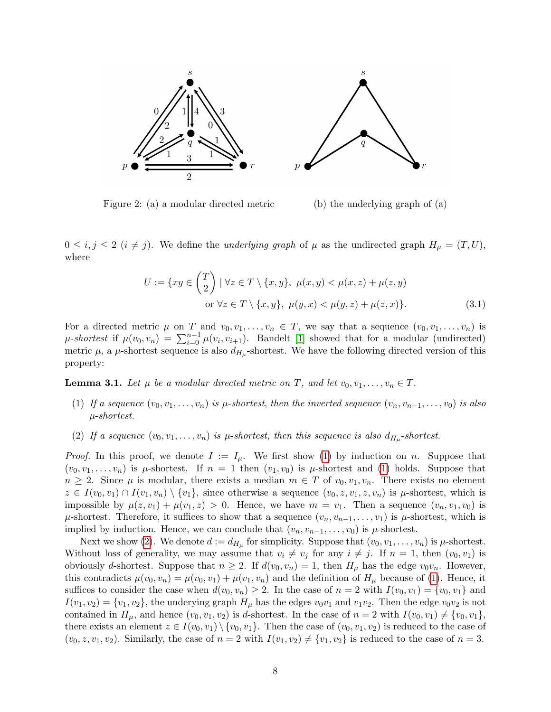

Figure 2: (a) a modular directed metric (b) the underlying graph of (a)

 $0 \le i, j \le 2$   $(i \ne j)$ . We define the *underlying graph* of  $\mu$  as the undirected graph  $H_{\mu} = (T, U)$ , where

$$
U := \{ xy \in \binom{T}{2} \mid \forall z \in T \setminus \{x, y\}, \ \mu(x, y) < \mu(x, z) + \mu(z, y) \}
$$
\nor  $\forall z \in T \setminus \{x, y\}, \ \mu(y, x) < \mu(y, z) + \mu(z, x) \}.$ 

\n(3.1)

For a directed metric  $\mu$  on T and  $v_0, v_1, \ldots, v_n \in T$ , we say that a sequence  $(v_0, v_1, \ldots, v_n)$  is  $\mu$ -shortest if  $\mu(v_0, v_n) = \sum_{i=0}^{n-1} \mu(v_i, v_{i+1})$ . Bandelt [\[1\]](#page-24-8) showed that for a modular (undirected) metric  $\mu$ , a  $\mu$ -shortest sequence is also  $d_{H_{\mu}}$ -shortest. We have the following directed version of this property:

<span id="page-7-2"></span>**Lemma 3.1.** Let  $\mu$  be a modular directed metric on T, and let  $v_0, v_1, \ldots, v_n \in T$ .

- <span id="page-7-0"></span>(1) If a sequence  $(v_0, v_1, \ldots, v_n)$  is  $\mu$ -shortest, then the inverted sequence  $(v_n, v_{n-1}, \ldots, v_0)$  is also µ-shortest.
- <span id="page-7-1"></span>(2) If a sequence  $(v_0, v_1, \ldots, v_n)$  is  $\mu$ -shortest, then this sequence is also  $d_{H_\mu}$ -shortest.

*Proof.* In this proof, we denote  $I := I_{\mu}$ . We first show [\(1\)](#page-7-0) by induction on n. Suppose that  $(v_0, v_1, \ldots, v_n)$  is  $\mu$ -shortest. If  $n = 1$  then  $(v_1, v_0)$  is  $\mu$ -shortest and [\(1\)](#page-7-0) holds. Suppose that  $n \geq 2$ . Since  $\mu$  is modular, there exists a median  $m \in T$  of  $v_0, v_1, v_n$ . There exists no element  $z \in I(v_0, v_1) \cap I(v_1, v_n) \setminus \{v_1\}$ , since otherwise a sequence  $(v_0, z, v_1, z, v_n)$  is  $\mu$ -shortest, which is impossible by  $\mu(z, v_1) + \mu(v_1, z) > 0$ . Hence, we have  $m = v_1$ . Then a sequence  $(v_n, v_1, v_0)$  is  $\mu$ -shortest. Therefore, it suffices to show that a sequence  $(v_n, v_{n-1}, \ldots, v_1)$  is  $\mu$ -shortest, which is implied by induction. Hence, we can conclude that  $(v_n, v_{n-1}, \ldots, v_0)$  is  $\mu$ -shortest.

Next we show [\(2\)](#page-7-1). We denote  $d := d_{H_\mu}$  for simplicity. Suppose that  $(v_0, v_1, \ldots, v_n)$  is  $\mu$ -shortest. Without loss of generality, we may assume that  $v_i \neq v_j$  for any  $i \neq j$ . If  $n = 1$ , then  $(v_0, v_1)$  is obviously d-shortest. Suppose that  $n \geq 2$ . If  $d(v_0, v_n) = 1$ , then  $H_\mu$  has the edge  $v_0v_n$ . However, this contradicts  $\mu(v_0, v_n) = \mu(v_0, v_1) + \mu(v_1, v_n)$  and the definition of  $H_\mu$  because of [\(1\)](#page-7-0). Hence, it suffices to consider the case when  $d(v_0, v_n) \geq 2$ . In the case of  $n = 2$  with  $I(v_0, v_1) = \{v_0, v_1\}$  and  $I(v_1, v_2) = \{v_1, v_2\}$ , the underying graph  $H_\mu$  has the edges  $v_0v_1$  and  $v_1v_2$ . Then the edge  $v_0v_2$  is not contained in  $H_{\mu}$ , and hence  $(v_0, v_1, v_2)$  is d-shortest. In the case of  $n = 2$  with  $I(v_0, v_1) \neq \{v_0, v_1\}$ , there exists an element  $z \in I(v_0, v_1) \setminus \{v_0, v_1\}$ . Then the case of  $(v_0, v_1, v_2)$  is reduced to the case of  $(v_0, z, v_1, v_2)$ . Similarly, the case of  $n = 2$  with  $I(v_1, v_2) \neq \{v_1, v_2\}$  is reduced to the case of  $n = 3$ .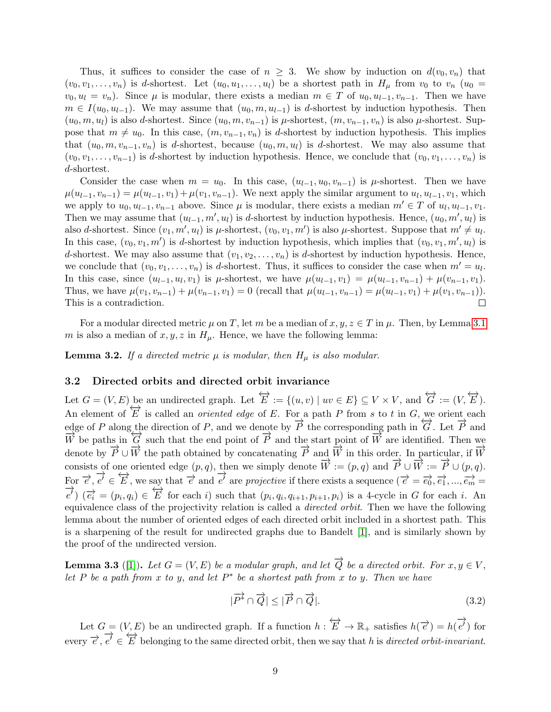Thus, it suffices to consider the case of  $n \geq 3$ . We show by induction on  $d(v_0, v_n)$  that  $(v_0, v_1, \ldots, v_n)$  is d-shortest. Let  $(u_0, u_1, \ldots, u_l)$  be a shortest path in  $H_\mu$  from  $v_0$  to  $v_n$   $(u_0 =$  $v_0, u_l = v_n$ ). Since  $\mu$  is modular, there exists a median  $m \in T$  of  $u_0, u_{l-1}, v_{n-1}$ . Then we have  $m \in I(u_0, u_{l-1})$ . We may assume that  $(u_0, m, u_{l-1})$  is d-shortest by induction hypothesis. Then  $(u_0, m, u_l)$  is also d-shortest. Since  $(u_0, m, v_{n-1})$  is  $\mu$ -shortest,  $(m, v_{n-1}, v_n)$  is also  $\mu$ -shortest. Suppose that  $m \neq u_0$ . In this case,  $(m, v_{n-1}, v_n)$  is d-shortest by induction hypothesis. This implies that  $(u_0, m, v_{n-1}, v_n)$  is d-shortest, because  $(u_0, m, u_l)$  is d-shortest. We may also assume that  $(v_0, v_1, \ldots, v_{n-1})$  is d-shortest by induction hypothesis. Hence, we conclude that  $(v_0, v_1, \ldots, v_n)$  is d-shortest.

Consider the case when  $m = u_0$ . In this case,  $(u_{l-1}, u_0, v_{n-1})$  is  $\mu$ -shortest. Then we have  $\mu(u_{l-1}, v_{n-1}) = \mu(u_{l-1}, v_1) + \mu(v_1, v_{n-1})$ . We next apply the similar argument to  $u_l, u_{l-1}, v_1$ , which we apply to  $u_0, u_{l-1}, v_{n-1}$  above. Since  $\mu$  is modular, there exists a median  $m' \in T$  of  $u_l, u_{l-1}, v_1$ . Then we may assume that  $(u_{l-1}, m', u_l)$  is d-shortest by induction hypothesis. Hence,  $(u_0, m', u_l)$  is also d-shortest. Since  $(v_1, m', u_l)$  is  $\mu$ -shortest,  $(v_0, v_1, m')$  is also  $\mu$ -shortest. Suppose that  $m' \neq u_l$ . In this case,  $(v_0, v_1, m')$  is d-shortest by induction hypothesis, which implies that  $(v_0, v_1, m', u_l)$  is d-shortest. We may also assume that  $(v_1, v_2, \ldots, v_n)$  is d-shortest by induction hypothesis. Hence, we conclude that  $(v_0, v_1, \ldots, v_n)$  is d-shortest. Thus, it suffices to consider the case when  $m' = u_l$ . In this case, since  $(u_{l-1}, u_l, v_1)$  is  $\mu$ -shortest, we have  $\mu(u_{l-1}, v_1) = \mu(u_{l-1}, v_{n-1}) + \mu(v_{n-1}, v_1)$ . Thus, we have  $\mu(v_1, v_{n-1}) + \mu(v_{n-1}, v_1) = 0$  (recall that  $\mu(u_{l-1}, v_{n-1}) = \mu(u_{l-1}, v_1) + \mu(v_1, v_{n-1})$ ).  $\Box$ This is a contradiction.

For a modular directed metric  $\mu$  on T, let m be a median of  $x, y, z \in T$  in  $\mu$ . Then, by Lemma [3.1](#page-7-2) m is also a median of  $x, y, z$  in  $H_{\mu}$ . Hence, we have the following lemma:

<span id="page-8-1"></span>**Lemma 3.2.** If a directed metric  $\mu$  is modular, then  $H_{\mu}$  is also modular.

### 3.2 Directed orbits and directed orbit invariance

Let  $G = (V, E)$  be an undirected graph. Let  $\overleftrightarrow{E} := \{(u, v) \mid uv \in E\} \subseteq V \times V$ , and  $\overleftrightarrow{G} := (V, \overleftrightarrow{E})$ . An element of  $\overleftrightarrow{E}$  is called an *oriented edge* of E. For a path P from s to t in G, we orient each edge of P along the direction of P, and we denote by  $\overrightarrow{P}$  the corresponding path in  $\overrightarrow{G}$ . Let  $\overrightarrow{P}$  and  $\overrightarrow{W}$  be paths in  $\overleftrightarrow{G}$  such that the end point of  $\overrightarrow{P}$  and the start point of  $\overrightarrow{W}$  are identified. Then we denote by  $\vec{P} \cup \vec{W}$  the path obtained by concatenating  $\vec{P}$  and  $\vec{W}$  in this order. In particular, if  $\vec{W}$ consists of one oriented edge  $(p, q)$ , then we simply denote  $\overrightarrow{W} := (p, q)$  and  $\overrightarrow{P} \cup \overrightarrow{W} := \overrightarrow{P} \cup (p, q)$ . For  $\vec{e}, \vec{e'}$  $\overrightarrow{e'} \in \overleftrightarrow{E}$ , we say that  $\overrightarrow{e'}$  and  $\overrightarrow{e'}$  $\overrightarrow{e}$  are projective if there exists a sequence  $(\overrightarrow{e} = \overrightarrow{e_0}, \overrightarrow{e_1}, ..., \overrightarrow{e_m} =$ −→  $(e^{\lambda})$   $(e_i^* = (p_i, q_i) \in E$  for each i) such that  $(p_i, q_i, q_{i+1}, p_{i+1}, p_i)$  is a 4-cycle in G for each i. An equivalence class of the projectivity relation is called a directed orbit. Then we have the following lemma about the number of oriented edges of each directed orbit included in a shortest path. This is a sharpening of the result for undirected graphs due to Bandelt [\[1\]](#page-24-8), and is similarly shown by the proof of the undirected version.

<span id="page-8-0"></span>**Lemma 3.3** ([\[1\]](#page-24-8)). Let  $G = (V, E)$  be a modular graph, and let  $\overrightarrow{Q}$  be a directed orbit. For  $x, y \in V$ , let P be a path from x to y, and let  $P^*$  be a shortest path from x to y. Then we have

$$
|\overrightarrow{P^*} \cap \overrightarrow{Q}| \le |\overrightarrow{P} \cap \overrightarrow{Q}|. \tag{3.2}
$$

Let  $G = (V, E)$  be an undirected graph. If a function  $h : \overleftrightarrow{E} \to \mathbb{R}_+$  satisfies  $h(\overrightarrow{e}) = h(\overrightarrow{e})$  $e'$ ) for  $\text{every } \overrightarrow{e}, \overrightarrow{e'}$  $e^{\lambda} \in E$  belonging to the same directed orbit, then we say that h is directed orbit-invariant.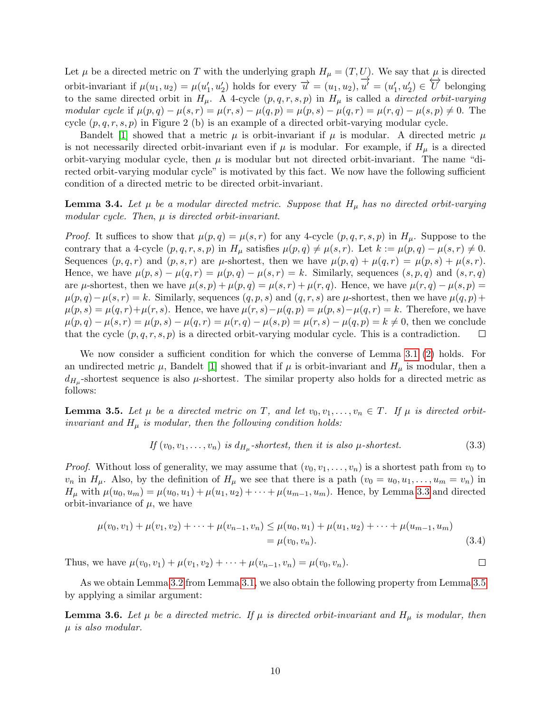Let  $\mu$  be a directed metric on T with the underlying graph  $H_{\mu} = (T, U)$ . We say that  $\mu$  is directed orbit-invariant if  $\mu(u_1, u_2) = \mu(u'_1, u'_2)$  holds for every  $\overrightarrow{u} = (u_1, u_2), \overrightarrow{u'}$  $\overrightarrow{u'} = (u'_1, u'_2) \in \overleftrightarrow{U}$  belonging to the same directed orbit in  $H_{\mu}$ . A 4-cycle  $(p, q, r, s, p)$  in  $H_{\mu}$  is called a *directed orbit-varying* modular cycle if  $\mu(p,q) - \mu(s,r) = \mu(r,s) - \mu(q,p) = \mu(p,s) - \mu(q,r) = \mu(r,q) - \mu(s,p) \neq 0$ . The cycle  $(p, q, r, s, p)$  in Figure 2 (b) is an example of a directed orbit-varying modular cycle.

Bandelt [\[1\]](#page-24-8) showed that a metric  $\mu$  is orbit-invariant if  $\mu$  is modular. A directed metric  $\mu$ is not necessarily directed orbit-invariant even if  $\mu$  is modular. For example, if  $H_{\mu}$  is a directed orbit-varying modular cycle, then  $\mu$  is modular but not directed orbit-invariant. The name "directed orbit-varying modular cycle" is motivated by this fact. We now have the following sufficient condition of a directed metric to be directed orbit-invariant.

<span id="page-9-1"></span>**Lemma 3.4.** Let  $\mu$  be a modular directed metric. Suppose that  $H_{\mu}$  has no directed orbit-varying modular cycle. Then,  $\mu$  is directed orbit-invariant.

*Proof.* It suffices to show that  $\mu(p,q) = \mu(s,r)$  for any 4-cycle  $(p,q,r,s,p)$  in  $H_\mu$ . Suppose to the contrary that a 4-cycle  $(p, q, r, s, p)$  in  $H_{\mu}$  satisfies  $\mu(p, q) \neq \mu(s, r)$ . Let  $k := \mu(p, q) - \mu(s, r) \neq 0$ . Sequences  $(p, q, r)$  and  $(p, s, r)$  are  $\mu$ -shortest, then we have  $\mu(p, q) + \mu(q, r) = \mu(p, s) + \mu(s, r)$ . Hence, we have  $\mu(p, s) - \mu(q, r) = \mu(p, q) - \mu(s, r) = k$ . Similarly, sequences  $(s, p, q)$  and  $(s, r, q)$ are  $\mu$ -shortest, then we have  $\mu(s, p) + \mu(p, q) = \mu(s, r) + \mu(r, q)$ . Hence, we have  $\mu(r, q) - \mu(s, p) =$  $\mu(p,q)-\mu(s,r)=k$ . Similarly, sequences  $(q, p, s)$  and  $(q, r, s)$  are  $\mu$ -shortest, then we have  $\mu(q, p)+$  $\mu(p, s) = \mu(q, r) + \mu(r, s)$ . Hence, we have  $\mu(r, s) - \mu(q, p) = \mu(p, s) - \mu(q, r) = k$ . Therefore, we have  $\mu(p,q) - \mu(s,r) = \mu(p,s) - \mu(q,r) = \mu(r,q) - \mu(s,p) = \mu(r,s) - \mu(q,p) = k \neq 0$ , then we conclude that the cycle  $(p, q, r, s, p)$  is a directed orbit-varying modular cycle. This is a contradiction.  $\Box$ 

We now consider a sufficient condition for which the converse of Lemma [3.1](#page-7-2) [\(2\)](#page-7-1) holds. For an undirected metric  $\mu$ , Bandelt [\[1\]](#page-24-8) showed that if  $\mu$  is orbit-invariant and  $H_{\mu}$  is modular, then a  $d_{H_{\mu}}$ -shortest sequence is also  $\mu$ -shortest. The similar property also holds for a directed metric as follows:

<span id="page-9-0"></span>**Lemma 3.5.** Let  $\mu$  be a directed metric on T, and let  $v_0, v_1, \ldots, v_n \in T$ . If  $\mu$  is directed orbitinvariant and  $H_{\mu}$  is modular, then the following condition holds:

If 
$$
(v_0, v_1, \ldots, v_n)
$$
 is  $d_{H_\mu}$ -shortest, then it is also  $\mu$ -shortest. (3.3)

 $\Box$ 

*Proof.* Without loss of generality, we may assume that  $(v_0, v_1, \ldots, v_n)$  is a shortest path from  $v_0$  to  $v_n$  in  $H_\mu$ . Also, by the definition of  $H_\mu$  we see that there is a path  $(v_0 = u_0, u_1, \ldots, u_m = v_n)$  in  $H_{\mu}$  with  $\mu(u_0, u_m) = \mu(u_0, u_1) + \mu(u_1, u_2) + \cdots + \mu(u_{m-1}, u_m)$ . Hence, by Lemma [3.3](#page-8-0) and directed orbit-invariance of  $\mu$ , we have

$$
\mu(v_0, v_1) + \mu(v_1, v_2) + \dots + \mu(v_{n-1}, v_n) \le \mu(u_0, u_1) + \mu(u_1, u_2) + \dots + \mu(u_{m-1}, u_m)
$$
  
=  $\mu(v_0, v_n).$  (3.4)

Thus, we have  $\mu(v_0, v_1) + \mu(v_1, v_2) + \cdots + \mu(v_{n-1}, v_n) = \mu(v_0, v_n)$ .

As we obtain Lemma [3.2](#page-8-1) from Lemma [3.1,](#page-7-2) we also obtain the following property from Lemma [3.5](#page-9-0) by applying a similar argument:

**Lemma 3.6.** Let  $\mu$  be a directed metric. If  $\mu$  is directed orbit-invariant and  $H_{\mu}$  is modular, then  $\mu$  is also modular.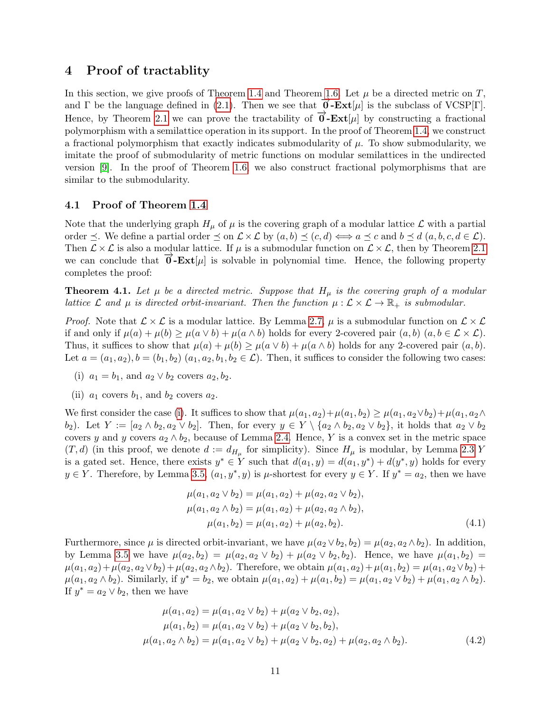## <span id="page-10-0"></span>4 Proof of tractablity

In this section, we give proofs of Theorem [1.4](#page-2-4) and Theorem [1.6.](#page-3-1) Let  $\mu$  be a directed metric on T, and  $\Gamma$  be the language defined in [\(2.1\)](#page-4-0). Then we see that  $\overline{\mathbf{0}}$ -**Ext**[µ] is the subclass of VCSP[Γ]. Hence, by Theorem [2.1](#page-4-1) we can prove the tractability of  $\vec{\theta}$ -**Ext**[µ] by constructing a fractional polymorphism with a semilattice operation in its support. In the proof of Theorem [1.4,](#page-2-4) we construct a fractional polymorphism that exactly indicates submodularity of  $\mu$ . To show submodularity, we imitate the proof of submodularity of metric functions on modular semilattices in the undirected version [\[9\]](#page-24-7). In the proof of Theorem [1.6,](#page-3-1) we also construct fractional polymorphisms that are similar to the submodularity.

### 4.1 Proof of Theorem [1.4](#page-2-4)

Note that the underlying graph  $H_{\mu}$  of  $\mu$  is the covering graph of a modular lattice  $\mathcal L$  with a partial order  $\preceq$ . We define a partial order  $\preceq$  on  $\mathcal{L}\times\mathcal{L}$  by  $(a, b) \preceq (c, d) \Longleftrightarrow a \preceq c$  and  $b \preceq d$   $(a, b, c, d \in \mathcal{L})$ . Then  $\mathcal{L} \times \mathcal{L}$  is also a modular lattice. If  $\mu$  is a submodular function on  $\mathcal{L} \times \mathcal{L}$ , then by Theorem [2.1](#page-4-1) we can conclude that  $\overline{\mathbf{0}}$ -**Ext**[µ] is solvable in polynomial time. Hence, the following property completes the proof:

**Theorem 4.1.** Let  $\mu$  be a directed metric. Suppose that  $H_{\mu}$  is the covering graph of a modular lattice  $\mathcal L$  and  $\mu$  is directed orbit-invariant. Then the function  $\mu : \mathcal L \times \mathcal L \to \mathbb R_+$  is submodular.

*Proof.* Note that  $\mathcal{L} \times \mathcal{L}$  is a modular lattice. By Lemma [2.7,](#page-6-2)  $\mu$  is a submodular function on  $\mathcal{L} \times \mathcal{L}$ if and only if  $\mu(a) + \mu(b) \ge \mu(a \vee b) + \mu(a \wedge b)$  holds for every 2-covered pair  $(a, b)$   $(a, b \in \mathcal{L} \times \mathcal{L})$ . Thus, it suffices to show that  $\mu(a) + \mu(b) \ge \mu(a \vee b) + \mu(a \wedge b)$  holds for any 2-covered pair  $(a, b)$ . Let  $a = (a_1, a_2), b = (b_1, b_2)$   $(a_1, a_2, b_1, b_2 \in \mathcal{L})$ . Then, it suffices to consider the following two cases:

- <span id="page-10-1"></span>(i)  $a_1 = b_1$ , and  $a_2 \vee b_2$  covers  $a_2, b_2$ .
- <span id="page-10-3"></span>(ii)  $a_1$  covers  $b_1$ , and  $b_2$  covers  $a_2$ .

We first consider the case [\(i\)](#page-10-1). It suffices to show that  $\mu(a_1, a_2) + \mu(a_1, b_2) \geq \mu(a_1, a_2 \vee b_2) + \mu(a_1, a_2 \wedge b_2)$ b<sub>2</sub>). Let  $Y := [a_2 \wedge b_2, a_2 \vee b_2]$ . Then, for every  $y \in Y \setminus \{a_2 \wedge b_2, a_2 \vee b_2\}$ , it holds that  $a_2 \vee b_2$ covers y and y covers  $a_2 \wedge b_2$ , because of Lemma [2.4.](#page-6-1) Hence, Y is a convex set in the metric space  $(T, d)$  (in this proof, we denote  $d := d_{H_{\mu}}$  for simplicity). Since  $H_{\mu}$  is modular, by Lemma [2.3](#page-5-0) Y is a gated set. Hence, there exists  $y^* \in Y$  such that  $d(a_1, y) = d(a_1, y^*) + d(y^*, y)$  holds for every  $y \in Y$ . Therefore, by Lemma [3.5,](#page-9-0)  $(a_1, y^*, y)$  is  $\mu$ -shortest for every  $y \in Y$ . If  $y^* = a_2$ , then we have

<span id="page-10-2"></span>
$$
\mu(a_1, a_2 \vee b_2) = \mu(a_1, a_2) + \mu(a_2, a_2 \vee b_2), \n\mu(a_1, a_2 \wedge b_2) = \mu(a_1, a_2) + \mu(a_2, a_2 \wedge b_2), \n\mu(a_1, b_2) = \mu(a_1, a_2) + \mu(a_2, b_2).
$$
\n(4.1)

Furthermore, since  $\mu$  is directed orbit-invariant, we have  $\mu(a_2 \vee b_2, b_2) = \mu(a_2, a_2 \wedge b_2)$ . In addition, by Lemma [3.5](#page-9-0) we have  $\mu(a_2, b_2) = \mu(a_2, a_2 \vee b_2) + \mu(a_2 \vee b_2, b_2)$ . Hence, we have  $\mu(a_1, b_2) =$  $\mu(a_1, a_2) + \mu(a_2, a_2 \vee b_2) + \mu(a_2, a_2 \wedge b_2)$ . Therefore, we obtain  $\mu(a_1, a_2) + \mu(a_1, b_2) = \mu(a_1, a_2 \vee b_2) + \mu(a_2, a_2 \vee b_2)$  $\mu(a_1, a_2 \wedge b_2)$ . Similarly, if  $y^* = b_2$ , we obtain  $\mu(a_1, a_2) + \mu(a_1, b_2) = \mu(a_1, a_2 \vee b_2) + \mu(a_1, a_2 \wedge b_2)$ . If  $y^* = a_2 \vee b_2$ , then we have

$$
\mu(a_1, a_2) = \mu(a_1, a_2 \vee b_2) + \mu(a_2 \vee b_2, a_2), \n\mu(a_1, b_2) = \mu(a_1, a_2 \vee b_2) + \mu(a_2 \vee b_2, b_2), \n\mu(a_1, a_2 \wedge b_2) = \mu(a_1, a_2 \vee b_2) + \mu(a_2 \vee b_2, a_2) + \mu(a_2, a_2 \wedge b_2).
$$
\n(4.2)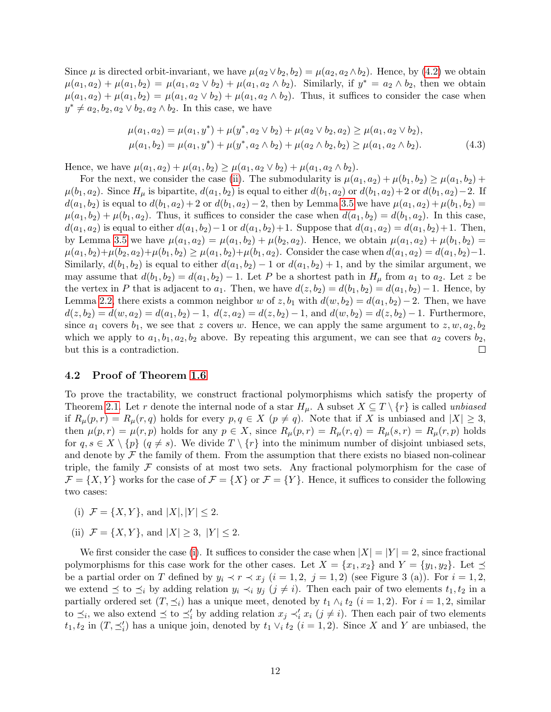Since  $\mu$  is directed orbit-invariant, we have  $\mu(a_2 \vee b_2, b_2) = \mu(a_2, a_2 \wedge b_2)$ . Hence, by [\(4.2\)](#page-10-2) we obtain  $\mu(a_1, a_2) + \mu(a_1, b_2) = \mu(a_1, a_2 \vee b_2) + \mu(a_1, a_2 \wedge b_2)$ . Similarly, if  $y^* = a_2 \wedge b_2$ , then we obtain  $\mu(a_1, a_2) + \mu(a_1, b_2) = \mu(a_1, a_2 \vee b_2) + \mu(a_1, a_2 \wedge b_2)$ . Thus, it suffices to consider the case when  $y^* \neq a_2, b_2, a_2 \vee b_2, a_2 \wedge b_2$ . In this case, we have

$$
\mu(a_1, a_2) = \mu(a_1, y^*) + \mu(y^*, a_2 \vee b_2) + \mu(a_2 \vee b_2, a_2) \ge \mu(a_1, a_2 \vee b_2), \n\mu(a_1, b_2) = \mu(a_1, y^*) + \mu(y^*, a_2 \wedge b_2) + \mu(a_2 \wedge b_2, b_2) \ge \mu(a_1, a_2 \wedge b_2).
$$
\n(4.3)

Hence, we have  $\mu(a_1, a_2) + \mu(a_1, b_2) \geq \mu(a_1, a_2 \vee b_2) + \mu(a_1, a_2 \wedge b_2).$ 

For the next, we consider the case [\(ii\)](#page-10-3). The submodularity is  $\mu(a_1, a_2) + \mu(b_1, b_2) \ge \mu(a_1, b_2) +$  $\mu(b_1, a_2)$ . Since  $H_\mu$  is bipartite,  $d(a_1, b_2)$  is equal to either  $d(b_1, a_2)$  or  $d(b_1, a_2)+2$  or  $d(b_1, a_2)-2$ . If  $d(a_1, b_2)$  is equal to  $d(b_1, a_2) + 2$  or  $d(b_1, a_2) - 2$ , then by Lemma [3.5](#page-9-0) we have  $\mu(a_1, a_2) + \mu(b_1, b_2) =$  $\mu(a_1, b_2) + \mu(b_1, a_2)$ . Thus, it suffices to consider the case when  $d(a_1, b_2) = d(b_1, a_2)$ . In this case,  $d(a_1, a_2)$  is equal to either  $d(a_1, b_2) - 1$  or  $d(a_1, b_2) + 1$ . Suppose that  $d(a_1, a_2) = d(a_1, b_2) + 1$ . Then, by Lemma [3.5](#page-9-0) we have  $\mu(a_1, a_2) = \mu(a_1, b_2) + \mu(b_2, a_2)$ . Hence, we obtain  $\mu(a_1, a_2) + \mu(b_1, b_2) =$  $\mu(a_1, b_2) + \mu(b_2, a_2) + \mu(b_1, b_2) \geq \mu(a_1, b_2) + \mu(b_1, a_2)$ . Consider the case when  $d(a_1, a_2) = d(a_1, b_2) - 1$ . Similarly,  $d(b_1, b_2)$  is equal to either  $d(a_1, b_2) - 1$  or  $d(a_1, b_2) + 1$ , and by the similar argument, we may assume that  $d(b_1, b_2) = d(a_1, b_2) - 1$ . Let P be a shortest path in  $H_\mu$  from  $a_1$  to  $a_2$ . Let z be the vertex in P that is adjacent to  $a_1$ . Then, we have  $d(z, b_2) = d(b_1, b_2) = d(a_1, b_2) - 1$ . Hence, by Lemma [2.2,](#page-5-1) there exists a common neighbor w of z, b<sub>1</sub> with  $d(w, b_2) = d(a_1, b_2) - 2$ . Then, we have  $d(z, b_2) = d(w, a_2) = d(a_1, b_2) - 1$ ,  $d(z, a_2) = d(z, b_2) - 1$ , and  $d(w, b_2) = d(z, b_2) - 1$ . Furthermore, since  $a_1$  covers  $b_1$ , we see that z covers w. Hence, we can apply the same argument to  $z, w, a_2, b_2$ which we apply to  $a_1, b_1, a_2, b_2$  above. By repeating this argument, we can see that  $a_2$  covers  $b_2$ , but this is a contradiction.  $\Box$ 

### 4.2 Proof of Theorem [1.6](#page-3-1)

To prove the tractability, we construct fractional polymorphisms which satisfy the property of Theorem [2.1.](#page-4-1) Let r denote the internal node of a star  $H_{\mu}$ . A subset  $X \subseteq T \setminus \{r\}$  is called *unbiased* if  $R_{\mu}(p,r) = R_{\mu}(r,q)$  holds for every  $p,q \in X$   $(p \neq q)$ . Note that if X is unbiased and  $|X| \geq 3$ , then  $\mu(p,r) = \mu(r,p)$  holds for any  $p \in X$ , since  $R_{\mu}(p,r) = R_{\mu}(r,q) = R_{\mu}(s,r) = R_{\mu}(r,p)$  holds for  $q, s \in X \setminus \{p\}$   $(q \neq s)$ . We divide  $T \setminus \{r\}$  into the minimum number of disjoint unbiased sets, and denote by  $\mathcal F$  the family of them. From the assumption that there exists no biased non-colinear triple, the family  $\mathcal F$  consists of at most two sets. Any fractional polymorphism for the case of  $\mathcal{F} = \{X, Y\}$  works for the case of  $\mathcal{F} = \{X\}$  or  $\mathcal{F} = \{Y\}$ . Hence, it suffices to consider the following two cases:

- <span id="page-11-0"></span>(i)  $\mathcal{F} = \{X, Y\}$ , and  $|X|, |Y| \leq 2$ .
- <span id="page-11-1"></span>(ii)  $\mathcal{F} = \{X, Y\}$ , and  $|X| \geq 3$ ,  $|Y| \leq 2$ .

We first consider the case [\(i\)](#page-11-0). It suffices to consider the case when  $|X| = |Y| = 2$ , since fractional polymorphisms for this case work for the other cases. Let  $X = \{x_1, x_2\}$  and  $Y = \{y_1, y_2\}$ . Let  $\preceq$ be a partial order on T defined by  $y_i \prec r \prec x_j$   $(i = 1, 2, j = 1, 2)$  (see Figure 3 (a)). For  $i = 1, 2,$ we extend  $\preceq$  to  $\preceq_i$  by adding relation  $y_i \prec_i y_j$   $(j \neq i)$ . Then each pair of two elements  $t_1, t_2$  in a partially ordered set  $(T, \preceq_i)$  has a unique meet, denoted by  $t_1 \wedge_i t_2$   $(i = 1, 2)$ . For  $i = 1, 2$ , similar to  $\preceq_i$ , we also extend  $\preceq$  to  $\preceq'_i$  by adding relation  $x_j \prec'_i x_i$   $(j \neq i)$ . Then each pair of two elements  $t_1, t_2$  in  $(T, \preceq'_i)$  has a unique join, denoted by  $t_1 \vee_i t_2$   $(i = 1, 2)$ . Since X and Y are unbiased, the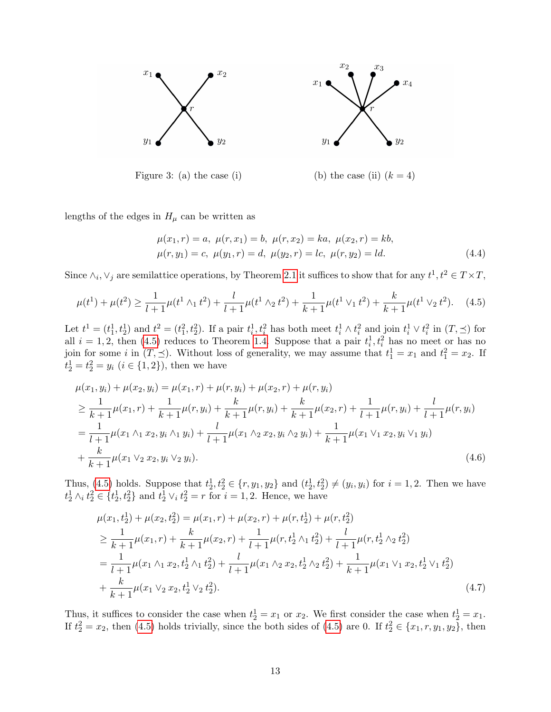

Figure 3: (a) the case (i) (b) the case (ii)  $(k = 4)$ 

lengths of the edges in  $H_{\mu}$  can be written as

<span id="page-12-0"></span>
$$
\mu(x_1, r) = a, \ \mu(r, x_1) = b, \ \mu(r, x_2) = ka, \ \mu(x_2, r) = kb,\n\mu(r, y_1) = c, \ \mu(y_1, r) = d, \ \mu(y_2, r) = lc, \ \mu(r, y_2) = ld.
$$
\n(4.4)

Since  $\wedge_i, \vee_j$  are semilattice operations, by Theorem [2.1](#page-4-1) it suffices to show that for any  $t^1, t^2 \in T \times T$ ,

$$
\mu(t^1) + \mu(t^2) \ge \frac{1}{l+1}\mu(t^1 \wedge_1 t^2) + \frac{l}{l+1}\mu(t^1 \wedge_2 t^2) + \frac{1}{k+1}\mu(t^1 \vee_1 t^2) + \frac{k}{k+1}\mu(t^1 \vee_2 t^2). \tag{4.5}
$$

Let  $t^1 = (t_1^1, t_2^1)$  and  $t^2 = (t_1^2, t_2^2)$ . If a pair  $t_i^1, t_i^2$  has both meet  $t_i^1 \wedge t_i^2$  and join  $t_i^1 \vee t_i^2$  in  $(T, \preceq)$  for all  $i = 1, 2$ , then [\(4.5\)](#page-12-0) reduces to Theorem [1.4.](#page-2-4) Suppose that a pair  $t_i^1, t_i^2$  has no meet or has no join for some *i* in  $(T, \leq)$ . Without loss of generality, we may assume that  $t_1^1 = x_1$  and  $t_1^2 = x_2$ . If  $t_2^1 = t_2^2 = y_i \ (i \in \{1, 2\})$ , then we have

$$
\mu(x_1, y_i) + \mu(x_2, y_i) = \mu(x_1, r) + \mu(r, y_i) + \mu(x_2, r) + \mu(r, y_i)
$$
\n
$$
\geq \frac{1}{k+1} \mu(x_1, r) + \frac{1}{k+1} \mu(r, y_i) + \frac{k}{k+1} \mu(r, y_i) + \frac{k}{k+1} \mu(x_2, r) + \frac{1}{l+1} \mu(r, y_i) + \frac{l}{l+1} \mu(r, y_i)
$$
\n
$$
= \frac{1}{l+1} \mu(x_1 \wedge_1 x_2, y_i \wedge_1 y_i) + \frac{l}{l+1} \mu(x_1 \wedge_2 x_2, y_i \wedge_2 y_i) + \frac{1}{k+1} \mu(x_1 \vee_1 x_2, y_i \vee_1 y_i)
$$
\n
$$
+ \frac{k}{k+1} \mu(x_1 \vee_2 x_2, y_i \vee_2 y_i).
$$
\n(4.6)

Thus, [\(4.5\)](#page-12-0) holds. Suppose that  $t_2^1, t_2^2 \in \{r, y_1, y_2\}$  and  $(t_2^1, t_2^2) \neq (y_i, y_i)$  for  $i = 1, 2$ . Then we have  $t_2^1 \wedge_i t_2^2 \in \{t_2^1, t_2^2\}$  and  $t_2^1 \vee_i t_2^2 = r$  for  $i = 1, 2$ . Hence, we have

$$
\mu(x_1, t_2^1) + \mu(x_2, t_2^2) = \mu(x_1, r) + \mu(x_2, r) + \mu(r, t_2^1) + \mu(r, t_2^2)
$$
\n
$$
\geq \frac{1}{k+1} \mu(x_1, r) + \frac{k}{k+1} \mu(x_2, r) + \frac{1}{l+1} \mu(r, t_2^1 \wedge_1 t_2^2) + \frac{l}{l+1} \mu(r, t_2^1 \wedge_2 t_2^2)
$$
\n
$$
= \frac{1}{l+1} \mu(x_1 \wedge_1 x_2, t_2^1 \wedge_1 t_2^2) + \frac{l}{l+1} \mu(x_1 \wedge_2 x_2, t_2^1 \wedge_2 t_2^2) + \frac{1}{k+1} \mu(x_1 \vee_1 x_2, t_2^1 \vee_1 t_2^2)
$$
\n
$$
+ \frac{k}{k+1} \mu(x_1 \vee_2 x_2, t_2^1 \vee_2 t_2^2).
$$
\n(4.7)

Thus, it suffices to consider the case when  $t_2^1 = x_1$  or  $x_2$ . We first consider the case when  $t_2^1 = x_1$ . If  $t_2^2 = x_2$ , then [\(4.5\)](#page-12-0) holds trivially, since the both sides of (4.5) are 0. If  $t_2^2 \in \{x_1, r, y_1, y_2\}$ , then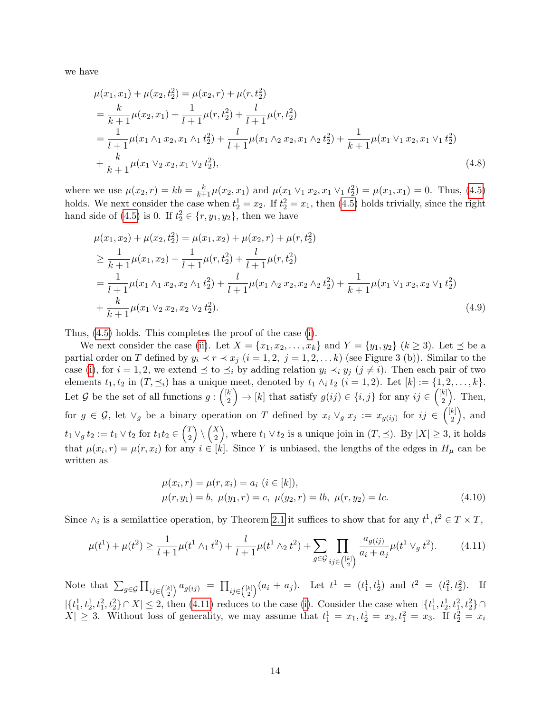we have

$$
\mu(x_1, x_1) + \mu(x_2, t_2^2) = \mu(x_2, r) + \mu(r, t_2^2)
$$
  
=  $\frac{k}{k+1}\mu(x_2, x_1) + \frac{1}{l+1}\mu(r, t_2^2) + \frac{l}{l+1}\mu(r, t_2^2)$   
=  $\frac{1}{l+1}\mu(x_1 \wedge_1 x_2, x_1 \wedge_1 t_2^2) + \frac{l}{l+1}\mu(x_1 \wedge_2 x_2, x_1 \wedge_2 t_2^2) + \frac{1}{k+1}\mu(x_1 \vee_1 x_2, x_1 \vee_1 t_2^2)$   
+  $\frac{k}{k+1}\mu(x_1 \vee_2 x_2, x_1 \vee_2 t_2^2),$  (4.8)

where we use  $\mu(x_2, r) = kb = \frac{k}{k+1}\mu(x_2, x_1)$  and  $\mu(x_1 \vee_1 x_2, x_1 \vee_1 t_2^2) = \mu(x_1, x_1) = 0$ . Thus, [\(4.5\)](#page-12-0) holds. We next consider the case when  $t_2^1 = x_2$ . If  $t_2^2 = x_1$ , then [\(4.5\)](#page-12-0) holds trivially, since the right hand side of [\(4.5\)](#page-12-0) is 0. If  $t_2^2 \in \{r, y_1, y_2\}$ , then we have

$$
\mu(x_1, x_2) + \mu(x_2, t_2^2) = \mu(x_1, x_2) + \mu(x_2, r) + \mu(r, t_2^2)
$$
\n
$$
\geq \frac{1}{k+1} \mu(x_1, x_2) + \frac{1}{l+1} \mu(r, t_2^2) + \frac{l}{l+1} \mu(r, t_2^2)
$$
\n
$$
= \frac{1}{l+1} \mu(x_1 \wedge_1 x_2, x_2 \wedge_1 t_2^2) + \frac{l}{l+1} \mu(x_1 \wedge_2 x_2, x_2 \wedge_2 t_2^2) + \frac{1}{k+1} \mu(x_1 \vee_1 x_2, x_2 \vee_1 t_2^2)
$$
\n
$$
+ \frac{k}{k+1} \mu(x_1 \vee_2 x_2, x_2 \vee_2 t_2^2). \tag{4.9}
$$

Thus, [\(4.5\)](#page-12-0) holds. This completes the proof of the case [\(i\)](#page-11-0).

We next consider the case [\(ii\)](#page-11-1). Let  $X = \{x_1, x_2, \ldots, x_k\}$  and  $Y = \{y_1, y_2\}$   $(k \ge 3)$ . Let  $\preceq$  be a partial order on T defined by  $y_i \prec r \prec x_j$   $(i = 1, 2, j = 1, 2, \ldots k)$  (see Figure 3 (b)). Similar to the case [\(i\)](#page-11-0), for  $i = 1, 2$ , we extend  $\preceq$  to  $\preceq_i$  by adding relation  $y_i \prec_i y_j$  ( $j \neq i$ ). Then each pair of two elements  $t_1, t_2$  in  $(T, \preceq_i)$  has a unique meet, denoted by  $t_1 \wedge_i t_2$   $(i = 1, 2)$ . Let  $[k] := \{1, 2, \ldots, k\}.$ Let G be the set of all functions  $g: \binom{[k]}{2}$  $\binom{k}{2}$   $\rightarrow$  [k] that satisfy  $g(ij) \in \{i, j\}$  for any  $ij \in \binom{[k]}{2}$  $_{2}^{k}$ ). Then, for  $g \in \mathcal{G}$ , let  $\vee_g$  be a binary operation on T defined by  $x_i \vee_g x_j := x_{g(ij)}$  for  $ij \in \binom{[k]}{2}$  $_{2}^{k}$ , and  $t_1 \vee_g t_2 := t_1 \vee t_2 \text{ for } t_1 t_2 \in \binom{T}{2}$  $\binom{T}{2} \setminus \binom{X}{2}$  $\binom{X}{2}$ , where  $t_1 \vee t_2$  is a unique join in  $(T, \preceq)$ . By  $|X| \geq 3$ , it holds that  $\mu(x_i, r) = \mu(r, x_i)$  for any  $i \in [k]$ . Since Y is unbiased, the lengths of the edges in  $H_\mu$  can be written as

<span id="page-13-0"></span>
$$
\mu(x_i, r) = \mu(r, x_i) = a_i \ (i \in [k]),
$$
  

$$
\mu(r, y_1) = b, \ \mu(y_1, r) = c, \ \mu(y_2, r) = lb, \ \mu(r, y_2) = lc.
$$
 (4.10)

Since  $\wedge_i$  is a semilattice operation, by Theorem [2.1](#page-4-1) it suffices to show that for any  $t^1, t^2 \in T \times T$ ,

$$
\mu(t^1) + \mu(t^2) \ge \frac{1}{l+1} \mu(t^1 \wedge_1 t^2) + \frac{l}{l+1} \mu(t^1 \wedge_2 t^2) + \sum_{g \in \mathcal{G}} \prod_{ij \in \binom{[k]}{2}} \frac{a_{g(ij)}}{a_i + a_j} \mu(t^1 \vee_g t^2). \tag{4.11}
$$

Note that  $\sum_{g \in \mathcal{G}} \prod_{ij \in \binom{[k]}{2}} a_{g(ij)} = \prod_{ij \in \binom{[k]}{2}} (a_i + a_j)$ . Let  $t^1 = (t_1^1, t_2^1)$  and  $t^2 = (t_1^2, t_2^2)$ . If  $|\{t_1^1, t_2^1, t_1^2, t_2^2\} \cap X| \leq 2$ , then [\(4.11\)](#page-13-0) reduces to the case [\(i\)](#page-11-0). Consider the case when  $|\{t_1^1, t_2^1, t_1^2, t_1^2, t_2^2\} \cap$  $X| \geq 3$ . Without loss of generality, we may assume that  $t_1^1 = x_1, t_2^1 = x_2, t_1^2 = x_3$ . If  $t_2^2 = x_i$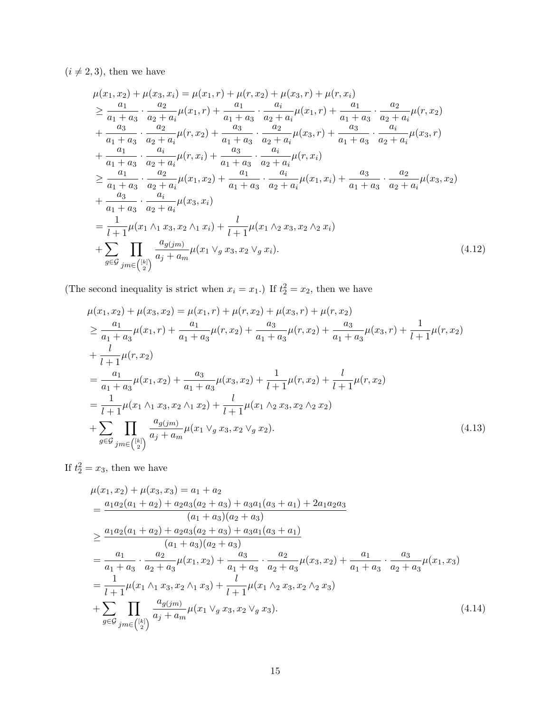$(i \neq 2, 3),$  then we have

$$
\mu(x_1, x_2) + \mu(x_3, x_i) = \mu(x_1, r) + \mu(r, x_2) + \mu(x_3, r) + \mu(r, x_i)
$$
\n
$$
\geq \frac{a_1}{a_1 + a_3} \cdot \frac{a_2}{a_2 + a_i} \mu(x_1, r) + \frac{a_1}{a_1 + a_3} \cdot \frac{a_i}{a_2 + a_i} \mu(x_1, r) + \frac{a_1}{a_1 + a_3} \cdot \frac{a_2}{a_2 + a_i} \mu(r, x_2)
$$
\n
$$
+ \frac{a_3}{a_1 + a_3} \cdot \frac{a_2}{a_2 + a_i} \mu(r, x_2) + \frac{a_3}{a_1 + a_3} \cdot \frac{a_2}{a_2 + a_i} \mu(x_3, r) + \frac{a_3}{a_1 + a_3} \cdot \frac{a_i}{a_2 + a_i} \mu(x_3, r)
$$
\n
$$
+ \frac{a_1}{a_1 + a_3} \cdot \frac{a_i}{a_2 + a_i} \mu(r, x_i) + \frac{a_3}{a_1 + a_3} \cdot \frac{a_i}{a_2 + a_i} \mu(r, x_i)
$$
\n
$$
\geq \frac{a_1}{a_1 + a_3} \cdot \frac{a_2}{a_2 + a_i} \mu(x_1, x_2) + \frac{a_1}{a_1 + a_3} \cdot \frac{a_i}{a_2 + a_i} \mu(x_1, x_i) + \frac{a_3}{a_1 + a_3} \cdot \frac{a_2}{a_2 + a_i} \mu(x_3, x_2)
$$
\n
$$
+ \frac{a_3}{a_1 + a_3} \cdot \frac{a_i}{a_2 + a_i} \mu(x_3, x_i)
$$
\n
$$
= \frac{1}{l+1} \mu(x_1 \wedge_1 x_3, x_2 \wedge_1 x_i) + \frac{l}{l+1} \mu(x_1 \wedge_2 x_3, x_2 \wedge_2 x_i)
$$
\n
$$
+ \sum_{g \in \mathcal{G}} \prod_{jm \in \binom{[k]}{2}} \frac{a_g(jm)}{a_j + a_m} \mu(x_1 \vee_g x_3, x_2 \vee_g x_i).
$$
\n(4.12)

(The second inequality is strict when  $x_i = x_1$ .) If  $t_2^2 = x_2$ , then we have

$$
\mu(x_1, x_2) + \mu(x_3, x_2) = \mu(x_1, r) + \mu(r, x_2) + \mu(x_3, r) + \mu(r, x_2)
$$
\n
$$
\geq \frac{a_1}{a_1 + a_3} \mu(x_1, r) + \frac{a_1}{a_1 + a_3} \mu(r, x_2) + \frac{a_3}{a_1 + a_3} \mu(r, x_2) + \frac{a_3}{a_1 + a_3} \mu(x_3, r) + \frac{1}{l+1} \mu(r, x_2)
$$
\n
$$
+ \frac{l}{l+1} \mu(r, x_2)
$$
\n
$$
= \frac{a_1}{a_1 + a_3} \mu(x_1, x_2) + \frac{a_3}{a_1 + a_3} \mu(x_3, x_2) + \frac{1}{l+1} \mu(r, x_2) + \frac{l}{l+1} \mu(r, x_2)
$$
\n
$$
= \frac{1}{l+1} \mu(x_1 \wedge_1 x_3, x_2 \wedge_1 x_2) + \frac{l}{l+1} \mu(x_1 \wedge_2 x_3, x_2 \wedge_2 x_2)
$$
\n
$$
+ \sum_{g \in \mathcal{G}} \prod_{jm \in \binom{[k]}{2}} \frac{a_g(jm)}{a_j + a_m} \mu(x_1 \vee_g x_3, x_2 \vee_g x_2).
$$
\n(4.13)

If  $t_2^2 = x_3$ , then we have

$$
\mu(x_1, x_2) + \mu(x_3, x_3) = a_1 + a_2
$$
\n
$$
= \frac{a_1 a_2 (a_1 + a_2) + a_2 a_3 (a_2 + a_3) + a_3 a_1 (a_3 + a_1) + 2 a_1 a_2 a_3}{(a_1 + a_3)(a_2 + a_3)}
$$
\n
$$
\geq \frac{a_1 a_2 (a_1 + a_2) + a_2 a_3 (a_2 + a_3) + a_3 a_1 (a_3 + a_1)}{(a_1 + a_3)(a_2 + a_3)}
$$
\n
$$
= \frac{a_1}{a_1 + a_3} \cdot \frac{a_2}{a_2 + a_3} \mu(x_1, x_2) + \frac{a_3}{a_1 + a_3} \cdot \frac{a_2}{a_2 + a_3} \mu(x_3, x_2) + \frac{a_1}{a_1 + a_3} \cdot \frac{a_3}{a_2 + a_3} \mu(x_1, x_3)
$$
\n
$$
= \frac{1}{l+1} \mu(x_1 \wedge_1 x_3, x_2 \wedge_1 x_3) + \frac{l}{l+1} \mu(x_1 \wedge_2 x_3, x_2 \wedge_2 x_3)
$$
\n
$$
+ \sum_{g \in \mathcal{G}} \prod_{jm \in \binom{[k]}{2}} \frac{a_g(jm)}{a_j + a_m} \mu(x_1 \vee_g x_3, x_2 \vee_g x_3).
$$
\n(4.14)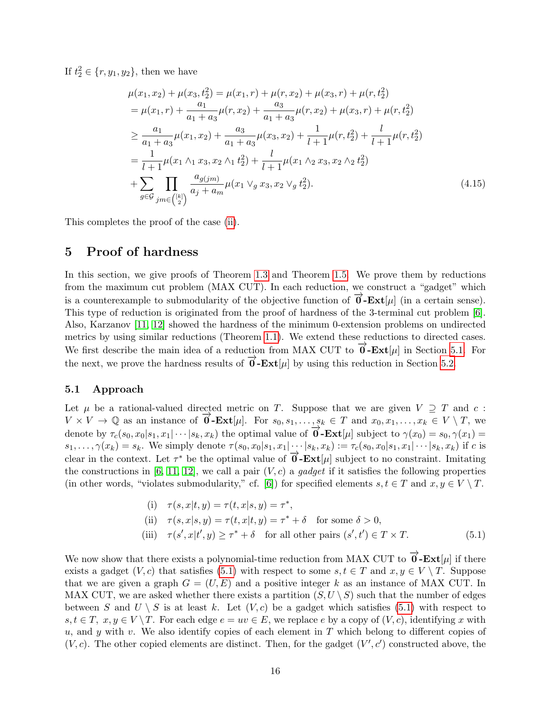If  $t_2^2 \in \{r, y_1, y_2\}$ , then we have

$$
\mu(x_1, x_2) + \mu(x_3, t_2^2) = \mu(x_1, r) + \mu(r, x_2) + \mu(x_3, r) + \mu(r, t_2^2)
$$
  
\n
$$
= \mu(x_1, r) + \frac{a_1}{a_1 + a_3} \mu(r, x_2) + \frac{a_3}{a_1 + a_3} \mu(r, x_2) + \mu(x_3, r) + \mu(r, t_2^2)
$$
  
\n
$$
\geq \frac{a_1}{a_1 + a_3} \mu(x_1, x_2) + \frac{a_3}{a_1 + a_3} \mu(x_3, x_2) + \frac{1}{l+1} \mu(r, t_2^2) + \frac{l}{l+1} \mu(r, t_2^2)
$$
  
\n
$$
= \frac{1}{l+1} \mu(x_1 \wedge_1 x_3, x_2 \wedge_1 t_2^2) + \frac{l}{l+1} \mu(x_1 \wedge_2 x_3, x_2 \wedge_2 t_2^2)
$$
  
\n
$$
+ \sum_{g \in \mathcal{G}} \prod_{jm \in \binom{[k]}{2}} \frac{a_g(jm)}{a_j + a_m} \mu(x_1 \vee_g x_3, x_2 \vee_g t_2^2).
$$
 (4.15)

This completes the proof of the case [\(ii\)](#page-11-1).

## <span id="page-15-0"></span>5 Proof of hardness

In this section, we give proofs of Theorem [1.3](#page-2-1) and Theorem [1.5.](#page-3-2) We prove them by reductions from the maximum cut problem (MAX CUT). In each reduction, we construct a "gadget" which is a counterexample to submodularity of the objective function of  $\vec{\theta}$ -**Ext**[µ] (in a certain sense). This type of reduction is originated from the proof of hardness of the 3-terminal cut problem [\[6\]](#page-24-9). Also, Karzanov [\[11,](#page-24-0) [12\]](#page-24-6) showed the hardness of the minimum 0-extension problems on undirected metrics by using similar reductions (Theorem [1.1\)](#page-1-0). We extend these reductions to directed cases. We first describe the main idea of a reduction from MAX CUT to  $\overrightarrow{0}$ -**Ext**[µ] in Section [5.1.](#page-15-1) For the next, we prove the hardness results of  $\overrightarrow{\mathbf{0}}$ -**Ext**[µ] by using this reduction in Section [5.2.](#page-16-0)

#### <span id="page-15-1"></span>5.1 Approach

Let  $\mu$  be a rational-valued directed metric on T. Suppose that we are given  $V \supseteq T$  and c:  $V \times V \to \mathbb{Q}$  as an instance of  $\overrightarrow{0}$ -**Ext**[ $\mu$ ]. For  $s_0, s_1, \ldots, s_k \in T$  and  $x_0, x_1, \ldots, x_k \in V \setminus T$ , we denote by  $\tau_c(s_0, x_0|s_1, x_1|\cdots|s_k, x_k)$  the optimal value of  $\overrightarrow{0}$ -**Ext**[µ] subject to  $\gamma(x_0) = s_0, \gamma(x_1) =$  $s_1, \ldots, \gamma(x_k) = s_k$ . We simply denote  $\tau(s_0, x_0|s_1, x_1|\cdots|s_k, x_k) := \tau_c(s_0, x_0|s_1, x_1|\cdots|s_k, x_k)$  if c is clear in the context. Let  $\tau^*$  be the optimal value of  $\overrightarrow{0}$ - $\text{Ext}[\mu]$  subject to no constraint. Imitating the constructions in [\[6,](#page-24-9) [11,](#page-24-0) [12\]](#page-24-6), we call a pair  $(V, c)$  a gadget if it satisfies the following properties (in other words, "violates submodularity," cf. [\[6\]](#page-24-9)) for specified elements  $s, t \in T$  and  $x, y \in V \setminus T$ .

<span id="page-15-2"></span>(i) 
$$
\tau(s, x|t, y) = \tau(t, x|s, y) = \tau^*
$$
,  
\n(ii)  $\tau(s, x|s, y) = \tau(t, x|t, y) = \tau^* + \delta$  for some  $\delta > 0$ ,  
\n(iii)  $\tau(s', x|t', y) \ge \tau^* + \delta$  for all other pairs  $(s', t') \in T \times T$ . (5.1)

We now show that there exists a polynomial-time reduction from MAX CUT to  $\overrightarrow{0}$ -**Ext**[ $\mu$ ] if there exists a gadget  $(V, c)$  that satisfies [\(5.1\)](#page-15-2) with respect to some  $s, t \in T$  and  $x, y \in V \setminus T$ . Suppose that we are given a graph  $G = (U, E)$  and a positive integer k as an instance of MAX CUT. In MAX CUT, we are asked whether there exists a partition  $(S, U \setminus S)$  such that the number of edges between S and  $U \setminus S$  is at least k. Let  $(V, c)$  be a gadget which satisfies [\(5.1\)](#page-15-2) with respect to  $s, t \in T$ ,  $x, y \in V \backslash T$ . For each edge  $e = uv \in E$ , we replace e by a copy of  $(V, c)$ , identifying x with u, and y with v. We also identify copies of each element in  $T$  which belong to different copies of  $(V, c)$ . The other copied elements are distinct. Then, for the gadget  $(V', c')$  constructed above, the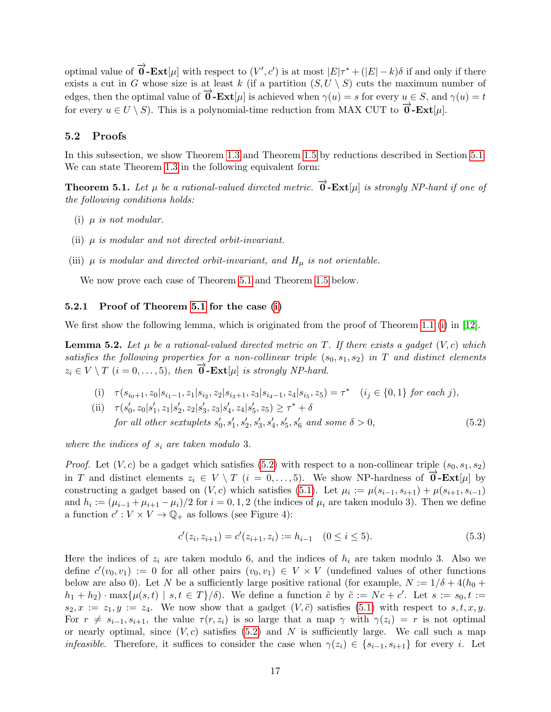optimal value of  $\overrightarrow{\mathbf{0}}$ -**Ext**[ $\mu$ ] with respect to  $(V', c')$  is at most  $|E|\tau^* + (|E| - k)\delta$  if and only if there exists a cut in G whose size is at least k (if a partition  $(S, U \setminus S)$  cuts the maximum number of edges, then the optimal value of  $\vec{\mathbf{0}}$ -**Ext**[µ] is achieved when  $\gamma(u) = s$  for every  $u \in S$ , and  $\gamma(u) = t$ for every  $u \in U \setminus S$ ). This is a polynomial-time reduction from MAX CUT to  $\overrightarrow{0}$ -**Ext**[µ].

#### <span id="page-16-0"></span>5.2 Proofs

In this subsection, we show Theorem [1.3](#page-2-1) and Theorem [1.5](#page-3-2) by reductions described in Section [5.1.](#page-15-1) We can state Theorem [1.3](#page-2-1) in the following equivalent form:

<span id="page-16-1"></span>**Theorem 5.1.** Let  $\mu$  be a rational-valued directed metric.  $\overrightarrow{0}$ - $\text{Ext}[\mu]$  is strongly NP-hard if one of the following conditions holds:

- <span id="page-16-2"></span>(i)  $\mu$  is not modular.
- <span id="page-16-5"></span>(ii)  $\mu$  is modular and not directed orbit-invariant.
- <span id="page-16-6"></span>(iii)  $\mu$  is modular and directed orbit-invariant, and  $H_{\mu}$  is not orientable.

We now prove each case of Theorem [5.1](#page-16-1) and Theorem [1.5](#page-3-2) below.

#### 5.2.1 Proof of Theorem [5.1](#page-16-1) for the case [\(i\)](#page-16-2)

We first show the following lemma, which is originated from the proof of Theorem [1.1](#page-1-0) [\(i\)](#page-1-2) in [\[12\]](#page-24-6).

<span id="page-16-4"></span>**Lemma 5.2.** Let  $\mu$  be a rational-valued directed metric on T. If there exists a gadget  $(V, c)$  which satisfies the following properties for a non-collinear triple  $(s_0, s_1, s_2)$  in T and distinct elements  $z_i \in V \setminus T$   $(i = 0, \ldots, 5)$ , then  $\overrightarrow{0}$ -**Ext**[ $\mu$ ] is strongly NP-hard.

(i) 
$$
\tau(s_{i_0+1}, z_0|s_{i_1-1}, z_1|s_{i_2}, z_2|s_{i_3+1}, z_3|s_{i_4-1}, z_4|s_{i_5}, z_5) = \tau^*
$$
  $(i_j \in \{0, 1\} \text{ for each } j),$ 

(ii)  $\tau(s'_0, z_0|s'_1, z_1|s'_2, z_2|s'_3, z_3|s'_4, z_4|s'_5, z_5) \geq \tau^* + \delta$ for all other sextuplets  $s'_0, s'_1, s'_2, s'_3, s'_4, s'_5, s'_6$  and some  $\delta > 0$ , (5.2)

where the indices of  $s_i$  are taken modulo 3.

*Proof.* Let  $(V, c)$  be a gadget which satisfies [\(5.2\)](#page-16-3) with respect to a non-collinear triple  $(s_0, s_1, s_2)$ in T and distinct elements  $z_i \in V \setminus T$  ( $i = 0, \ldots, 5$ ). We show NP-hardness of  $\vec{0}$ -**Ext**[ $\mu$ ] by constructing a gadget based on  $(V, c)$  which satisfies [\(5.1\)](#page-15-2). Let  $\mu_i := \mu(s_{i-1}, s_{i+1}) + \mu(s_{i+1}, s_{i-1})$ and  $h_i := (\mu_{i-1} + \mu_{i+1} - \mu_i)/2$  for  $i = 0, 1, 2$  (the indices of  $\mu_i$  are taken modulo 3). Then we define a function  $c': V \times V \to \mathbb{Q}_+$  as follows (see Figure 4):

<span id="page-16-3"></span>
$$
c'(z_i, z_{i+1}) = c'(z_{i+1}, z_i) := h_{i-1} \quad (0 \le i \le 5).
$$
\n(5.3)

Here the indices of  $z_i$  are taken modulo 6, and the indices of  $h_i$  are taken modulo 3. Also we define  $c'(v_0, v_1) := 0$  for all other pairs  $(v_0, v_1) \in V \times V$  (undefined values of other functions below are also 0). Let N be a sufficiently large positive rational (for example,  $N := 1/\delta + 4(h_0 +$  $h_1 + h_2$  · max $\{\mu(s,t) \mid s,t \in T\}/\delta$ . We define a function  $\tilde{c}$  by  $\tilde{c} := Nc + c'$ . Let  $s := s_0, t :=$  $s_2, x := z_1, y := z_4$ . We now show that a gadget  $(V, \tilde{c})$  satisfies [\(5.1\)](#page-15-2) with respect to  $s, t, x, y$ . For  $r \neq s_{i-1}, s_{i+1}$ , the value  $\tau(r, z_i)$  is so large that a map  $\gamma$  with  $\gamma(z_i) = r$  is not optimal or nearly optimal, since  $(V, c)$  satisfies [\(5.2\)](#page-16-3) and N is sufficiently large. We call such a map *infeasible.* Therefore, it suffices to consider the case when  $\gamma(z_i) \in \{s_{i-1}, s_{i+1}\}\$  for every i. Let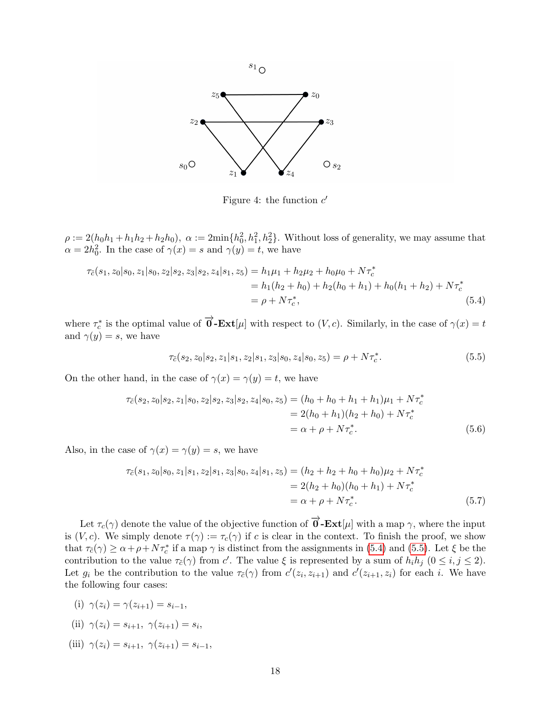

 $s_1$ <sub>O</sub>

<span id="page-17-1"></span><span id="page-17-0"></span>Figure 4: the function  $c'$ 

 $\rho := 2(h_0h_1 + h_1h_2 + h_2h_0), \ \alpha := 2\min\{h_0^2, h_1^2, h_2^2\}.$  Without loss of generality, we may assume that  $\alpha = 2h_0^2$ . In the case of  $\gamma(x) = s$  and  $\gamma(y) = t$ , we have

$$
\tau_{\tilde{c}}(s_1, z_0|s_0, z_1|s_0, z_2|s_2, z_3|s_2, z_4|s_1, z_5) = h_1\mu_1 + h_2\mu_2 + h_0\mu_0 + N\tau_c^*
$$
  
=  $h_1(h_2 + h_0) + h_2(h_0 + h_1) + h_0(h_1 + h_2) + N\tau_c^*$   
=  $\rho + N\tau_c^*$ , (5.4)

where  $\tau_c^*$  is the optimal value of  $\overrightarrow{0}$ -**Ext**[ $\mu$ ] with respect to (V, c). Similarly, in the case of  $\gamma(x) = t$ and  $\gamma(y) = s$ , we have

$$
\tau_{\tilde{c}}(s_2, z_0|s_2, z_1|s_1, z_2|s_1, z_3|s_0, z_4|s_0, z_5) = \rho + N\tau_c^*.
$$
\n(5.5)

On the other hand, in the case of  $\gamma(x) = \gamma(y) = t$ , we have

$$
\tau_{\tilde{c}}(s_2, z_0|s_2, z_1|s_0, z_2|s_2, z_3|s_2, z_4|s_0, z_5) = (h_0 + h_0 + h_1 + h_1)\mu_1 + N\tau_c^*
$$
  
= 2(h\_0 + h\_1)(h\_2 + h\_0) + N\tau\_c^\*  
=  $\alpha + \rho + N\tau_c^*$ . (5.6)

Also, in the case of  $\gamma(x) = \gamma(y) = s$ , we have

$$
\tau_{\tilde{c}}(s_1, z_0|s_0, z_1|s_1, z_2|s_1, z_3|s_0, z_4|s_1, z_5) = (h_2 + h_2 + h_0 + h_0)\mu_2 + N\tau_c^*
$$
  
= 2(h<sub>2</sub> + h<sub>0</sub>)(h<sub>0</sub> + h<sub>1</sub>) + N\tau\_c^\*  
=  $\alpha + \rho + N\tau_c^*$ . (5.7)

Let  $\tau_c(\gamma)$  denote the value of the objective function of  $\overrightarrow{0}$ -**Ext**[µ] with a map  $\gamma$ , where the input is  $(V, c)$ . We simply denote  $\tau(\gamma) := \tau_c(\gamma)$  if c is clear in the context. To finish the proof, we show that  $\tau_{\tilde{c}}(\gamma) \ge \alpha + \rho + N\tau_c^*$  if a map  $\gamma$  is distinct from the assignments in [\(5.4\)](#page-17-0) and [\(5.5\)](#page-17-1). Let  $\xi$  be the contribution to the value  $\tau_{\tilde{c}}(\gamma)$  from c'. The value  $\xi$  is represented by a sum of  $h_i h_j$   $(0 \le i, j \le 2)$ . Let  $g_i$  be the contribution to the value  $\tau_{\tilde{c}}(\gamma)$  from  $c'(z_i, z_{i+1})$  and  $c'(z_{i+1}, z_i)$  for each i. We have the following four cases:

<span id="page-17-2"></span>(i)  $\gamma(z_i) = \gamma(z_{i+1}) = s_{i-1}$ ,

<span id="page-17-3"></span>(ii) 
$$
\gamma(z_i) = s_{i+1}, \ \gamma(z_{i+1}) = s_i,
$$

<span id="page-17-4"></span>(iii)  $\gamma(z_i) = s_{i+1}, \ \gamma(z_{i+1}) = s_{i-1},$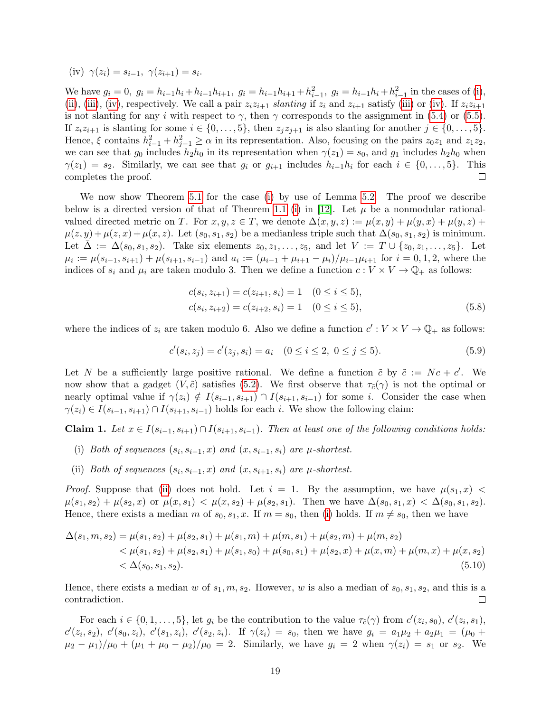<span id="page-18-0"></span>(iv) 
$$
\gamma(z_i) = s_{i-1}, \ \gamma(z_{i+1}) = s_i.
$$

We have  $g_i = 0$ ,  $g_i = h_{i-1}h_i + h_{i-1}h_{i+1}$ ,  $g_i = h_{i-1}h_{i+1} + h_{i-1}^2$ ,  $g_i = h_{i-1}h_i + h_{i-1}^2$  in the cases of [\(i\)](#page-17-2), [\(ii\)](#page-17-3), [\(iii\)](#page-17-4), [\(iv\)](#page-18-0), respectively. We call a pair  $z_iz_{i+1}$  slanting if  $z_i$  and  $z_{i+1}$  satisfy (iii) or (iv). If  $z_iz_{i+1}$ is not slanting for any i with respect to  $\gamma$ , then  $\gamma$  corresponds to the assignment in [\(5.4\)](#page-17-0) or [\(5.5\)](#page-17-1). If  $z_iz_{i+1}$  is slanting for some  $i \in \{0, \ldots, 5\}$ , then  $z_jz_{j+1}$  is also slanting for another  $j \in \{0, \ldots, 5\}$ . Hence,  $\xi$  contains  $h_{i-1}^2 + h_{j-1}^2 \ge \alpha$  in its representation. Also, focusing on the pairs  $z_0 z_1$  and  $z_1 z_2$ , we can see that  $g_0$  includes  $h_2h_0$  in its representation when  $\gamma(z_1) = s_0$ , and  $g_1$  includes  $h_2h_0$  when  $\gamma(z_1) = s_2$ . Similarly, we can see that  $g_i$  or  $g_{i+1}$  includes  $h_{i-1}h_i$  for each  $i \in \{0, \ldots, 5\}$ . This completes the proof.  $\Box$ 

We now show Theorem [5.1](#page-16-1) for the case [\(i\)](#page-16-2) by use of Lemma [5.2.](#page-16-4) The proof we describe below is a directed version of that of Theorem [1.1](#page-1-0) [\(i\)](#page-1-2) in [\[12\]](#page-24-6). Let  $\mu$  be a nonmodular rationalvalued directed metric on T. For  $x, y, z \in T$ , we denote  $\Delta(x, y, z) := \mu(x, y) + \mu(y, x) + \mu(y, z) +$  $\mu(z, y) + \mu(z, x) + \mu(x, z)$ . Let  $(s_0, s_1, s_2)$  be a medianless triple such that  $\Delta(s_0, s_1, s_2)$  is minimum. Let  $\bar{\Delta} := \Delta(s_0, s_1, s_2)$ . Take six elements  $z_0, z_1, \ldots, z_5$ , and let  $V := T \cup \{z_0, z_1, \ldots, z_5\}$ . Let  $\mu_i := \mu(s_{i-1}, s_{i+1}) + \mu(s_{i+1}, s_{i-1})$  and  $a_i := (\mu_{i-1} + \mu_{i+1} - \mu_i)/\mu_{i-1}\mu_{i+1}$  for  $i = 0, 1, 2$ , where the indices of  $s_i$  and  $\mu_i$  are taken modulo 3. Then we define a function  $c: V \times V \to \mathbb{Q}_+$  as follows:

$$
c(s_i, z_{i+1}) = c(z_{i+1}, s_i) = 1 \quad (0 \le i \le 5),
$$
  
\n
$$
c(s_i, z_{i+2}) = c(z_{i+2}, s_i) = 1 \quad (0 \le i \le 5),
$$
\n(5.8)

where the indices of  $z_i$  are taken modulo 6. Also we define a function  $c': V \times V \to \mathbb{Q}_+$  as follows:

$$
c'(s_i, z_j) = c'(z_j, s_i) = a_i \quad (0 \le i \le 2, \ 0 \le j \le 5). \tag{5.9}
$$

Let N be a sufficiently large positive rational. We define a function  $\tilde{c}$  by  $\tilde{c} := Nc + c'$ . We now show that a gadget  $(V, \tilde{c})$  satisfies [\(5.2\)](#page-16-3). We first observe that  $\tau_{\tilde{c}}(\gamma)$  is not the optimal or nearly optimal value if  $\gamma(z_i) \notin I(s_{i-1}, s_{i+1}) \cap I(s_{i+1}, s_{i-1})$  for some i. Consider the case when  $\gamma(z_i) \in I(s_{i-1}, s_{i+1}) \cap I(s_{i+1}, s_{i-1})$  holds for each i. We show the following claim:

<span id="page-18-3"></span>Claim 1. Let  $x \in I(s_{i-1}, s_{i+1}) \cap I(s_{i+1}, s_{i-1})$ . Then at least one of the following conditions holds:

- <span id="page-18-2"></span>(i) Both of sequences  $(s_i, s_{i-1}, x)$  and  $(x, s_{i-1}, s_i)$  are  $\mu$ -shortest.
- <span id="page-18-1"></span>(ii) Both of sequences  $(s_i, s_{i+1}, x)$  and  $(x, s_{i+1}, s_i)$  are  $\mu$ -shortest.

*Proof.* Suppose that [\(ii\)](#page-18-1) does not hold. Let  $i = 1$ . By the assumption, we have  $\mu(s_1, x)$  <  $\mu(s_1, s_2) + \mu(s_2, x)$  or  $\mu(x, s_1) < \mu(x, s_2) + \mu(s_2, s_1)$ . Then we have  $\Delta(s_0, s_1, x) < \Delta(s_0, s_1, s_2)$ . Hence, there exists a median m of  $s_0, s_1, x$ . If  $m = s_0$ , then [\(i\)](#page-18-2) holds. If  $m \neq s_0$ , then we have

$$
\Delta(s_1, m, s_2) = \mu(s_1, s_2) + \mu(s_2, s_1) + \mu(s_1, m) + \mu(m, s_1) + \mu(s_2, m) + \mu(m, s_2)
$$
  

$$
< \mu(s_1, s_2) + \mu(s_2, s_1) + \mu(s_1, s_0) + \mu(s_0, s_1) + \mu(s_2, x) + \mu(x, m) + \mu(m, x) + \mu(x, s_2)
$$
  

$$
< \Delta(s_0, s_1, s_2).
$$
 (5.10)

Hence, there exists a median w of  $s_1, m, s_2$ . However, w is also a median of  $s_0, s_1, s_2$ , and this is a contradiction. П

For each  $i \in \{0, 1, \ldots, 5\}$ , let  $g_i$  be the contribution to the value  $\tau_{\tilde{c}}(\gamma)$  from  $c'(z_i, s_0)$ ,  $c'(z_i, s_1)$ ,  $c'(z_i, s_2), c'(s_0, z_i), c'(s_1, z_i), c'(s_2, z_i)$ . If  $\gamma(z_i) = s_0$ , then we have  $g_i = a_1\mu_2 + a_2\mu_1 = (\mu_0 + \mu_1)$  $(\mu_2 - \mu_1)/\mu_0 + (\mu_1 + \mu_0 - \mu_2)/\mu_0 = 2$ . Similarly, we have  $g_i = 2$  when  $\gamma(z_i) = s_1$  or  $s_2$ . We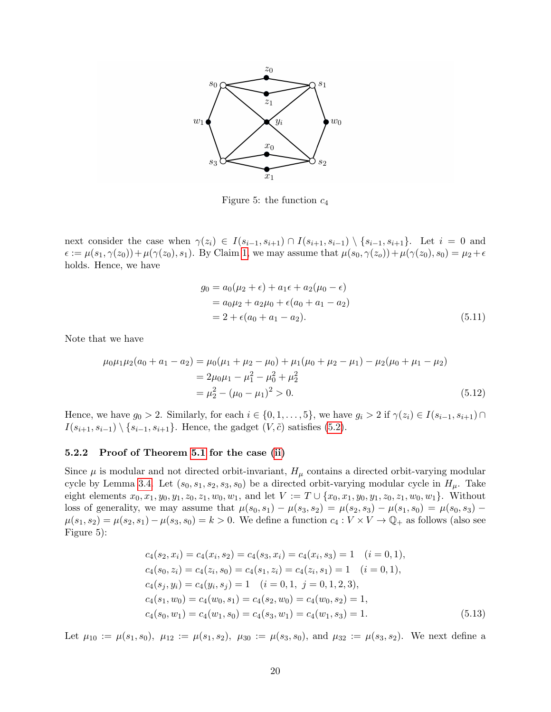

Figure 5: the function  $c_4$ 

next consider the case when  $\gamma(z_i) \in I(s_{i-1}, s_{i+1}) \cap I(s_{i+1}, s_{i-1}) \setminus \{s_{i-1}, s_{i+1}\}.$  Let  $i = 0$  and  $\epsilon := \mu(s_1, \gamma(z_0)) + \mu(\gamma(z_0), s_1)$ . By Claim [1,](#page-18-3) we may assume that  $\mu(s_0, \gamma(z_0)) + \mu(\gamma(z_0), s_0) = \mu_2 + \epsilon$ holds. Hence, we have

$$
g_0 = a_0(\mu_2 + \epsilon) + a_1 \epsilon + a_2(\mu_0 - \epsilon)
$$
  
=  $a_0 \mu_2 + a_2 \mu_0 + \epsilon (a_0 + a_1 - a_2)$   
=  $2 + \epsilon (a_0 + a_1 - a_2)$ . (5.11)

Note that we have

$$
\mu_0 \mu_1 \mu_2 (a_0 + a_1 - a_2) = \mu_0 (\mu_1 + \mu_2 - \mu_0) + \mu_1 (\mu_0 + \mu_2 - \mu_1) - \mu_2 (\mu_0 + \mu_1 - \mu_2)
$$
  
=  $2\mu_0 \mu_1 - \mu_1^2 - \mu_0^2 + \mu_2^2$   
=  $\mu_2^2 - (\mu_0 - \mu_1)^2 > 0.$  (5.12)

Hence, we have  $g_0 > 2$ . Similarly, for each  $i \in \{0, 1, \ldots, 5\}$ , we have  $g_i > 2$  if  $\gamma(z_i) \in I(s_{i-1}, s_{i+1}) \cap$  $I(s_{i+1}, s_{i-1}) \setminus \{s_{i-1}, s_{i+1}\}.$  Hence, the gadget  $(V, \tilde{c})$  satisfies [\(5.2\)](#page-16-3).

#### 5.2.2 Proof of Theorem [5.1](#page-16-1) for the case [\(ii\)](#page-16-5)

Since  $\mu$  is modular and not directed orbit-invariant,  $H_{\mu}$  contains a directed orbit-varying modular cycle by Lemma [3.4.](#page-9-1) Let  $(s_0, s_1, s_2, s_3, s_0)$  be a directed orbit-varying modular cycle in  $H_\mu$ . Take eight elements  $x_0, x_1, y_0, y_1, z_0, z_1, w_0, w_1$ , and let  $V := T \cup \{x_0, x_1, y_0, y_1, z_0, z_1, w_0, w_1\}$ . Without loss of generality, we may assume that  $\mu(s_0, s_1) - \mu(s_3, s_2) = \mu(s_2, s_3) - \mu(s_1, s_0) = \mu(s_0, s_3) \mu(s_1, s_2) = \mu(s_2, s_1) - \mu(s_3, s_0) = k > 0$ . We define a function  $c_4 : V \times V \to \mathbb{Q}_+$  as follows (also see Figure 5):

$$
c_4(s_2, x_i) = c_4(x_i, s_2) = c_4(s_3, x_i) = c_4(x_i, s_3) = 1 \quad (i = 0, 1),
$$
  
\n
$$
c_4(s_0, z_i) = c_4(z_i, s_0) = c_4(s_1, z_i) = c_4(z_i, s_1) = 1 \quad (i = 0, 1),
$$
  
\n
$$
c_4(s_j, y_i) = c_4(y_i, s_j) = 1 \quad (i = 0, 1, j = 0, 1, 2, 3),
$$
  
\n
$$
c_4(s_1, w_0) = c_4(w_0, s_1) = c_4(s_2, w_0) = c_4(w_0, s_2) = 1,
$$
  
\n
$$
c_4(s_0, w_1) = c_4(w_1, s_0) = c_4(s_3, w_1) = c_4(w_1, s_3) = 1.
$$
\n(5.13)

Let  $\mu_{10} := \mu(s_1, s_0), \ \mu_{12} := \mu(s_1, s_2), \ \mu_{30} := \mu(s_3, s_0), \text{ and } \mu_{32} := \mu(s_3, s_2).$  We next define a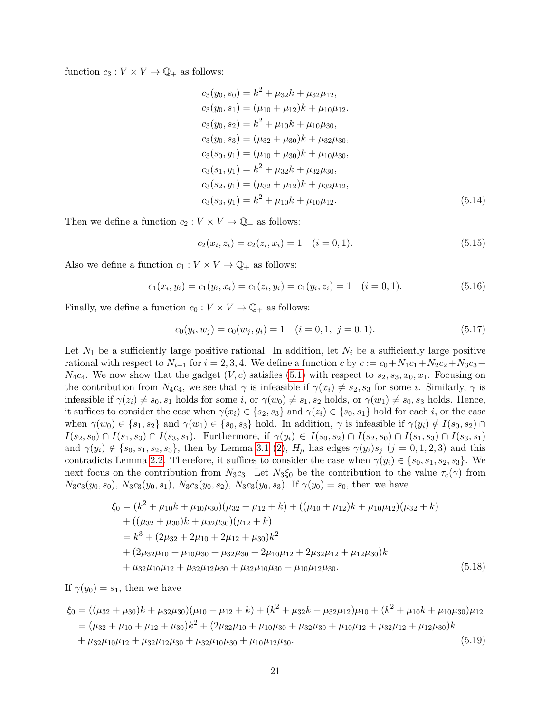function  $c_3 : V \times V \to \mathbb{Q}_+$  as follows:

$$
c_3(y_0, s_0) = k^2 + \mu_{32}k + \mu_{32}\mu_{12},
$$
  
\n
$$
c_3(y_0, s_1) = (\mu_{10} + \mu_{12})k + \mu_{10}\mu_{12},
$$
  
\n
$$
c_3(y_0, s_2) = k^2 + \mu_{10}k + \mu_{10}\mu_{30},
$$
  
\n
$$
c_3(y_0, s_3) = (\mu_{32} + \mu_{30})k + \mu_{32}\mu_{30},
$$
  
\n
$$
c_3(s_0, y_1) = (\mu_{10} + \mu_{30})k + \mu_{10}\mu_{30},
$$
  
\n
$$
c_3(s_1, y_1) = k^2 + \mu_{32}k + \mu_{32}\mu_{30},
$$
  
\n
$$
c_3(s_2, y_1) = (\mu_{32} + \mu_{12})k + \mu_{32}\mu_{12},
$$
  
\n
$$
c_3(s_3, y_1) = k^2 + \mu_{10}k + \mu_{10}\mu_{12}.
$$
  
\n(5.14)

Then we define a function  $c_2 : V \times V \to \mathbb{Q}_+$  as follows:

$$
c_2(x_i, z_i) = c_2(z_i, x_i) = 1 \quad (i = 0, 1). \tag{5.15}
$$

Also we define a function  $c_1 : V \times V \to \mathbb{Q}_+$  as follows:

$$
c_1(x_i, y_i) = c_1(y_i, x_i) = c_1(z_i, y_i) = c_1(y_i, z_i) = 1 \quad (i = 0, 1).
$$
\n
$$
(5.16)
$$

Finally, we define a function  $c_0 : V \times V \to \mathbb{Q}_+$  as follows:

$$
c_0(y_i, w_j) = c_0(w_j, y_i) = 1 \quad (i = 0, 1, j = 0, 1).
$$
\n
$$
(5.17)
$$

Let  $N_1$  be a sufficiently large positive rational. In addition, let  $N_i$  be a sufficiently large positive rational with respect to  $N_{i-1}$  for  $i = 2, 3, 4$ . We define a function c by  $c := c_0 + N_1c_1 + N_2c_2 + N_3c_3 +$  $N_4c_4$ . We now show that the gadget  $(V, c)$  satisfies [\(5.1\)](#page-15-2) with respect to  $s_2, s_3, x_0, x_1$ . Focusing on the contribution from  $N_4c_4$ , we see that  $\gamma$  is infeasible if  $\gamma(x_i) \neq s_2, s_3$  for some i. Similarly,  $\gamma$  is infeasible if  $\gamma(z_i) \neq s_0, s_1$  holds for some i, or  $\gamma(w_0) \neq s_1, s_2$  holds, or  $\gamma(w_1) \neq s_0, s_3$  holds. Hence, it suffices to consider the case when  $\gamma(x_i) \in \{s_2, s_3\}$  and  $\gamma(z_i) \in \{s_0, s_1\}$  hold for each i, or the case when  $\gamma(w_0) \in \{s_1, s_2\}$  and  $\gamma(w_1) \in \{s_0, s_3\}$  hold. In addition,  $\gamma$  is infeasible if  $\gamma(y_i) \notin I(s_0, s_2) \cap I$  $I(s_2, s_0) \cap I(s_1, s_3) \cap I(s_3, s_1)$ . Furthermore, if  $\gamma(y_i) \in I(s_0, s_2) \cap I(s_2, s_0) \cap I(s_1, s_3) \cap I(s_3, s_1)$ and  $\gamma(y_i) \notin \{s_0, s_1, s_2, s_3\}$ , then by Lemma [3.1](#page-7-2) [\(2\)](#page-7-1),  $H_\mu$  has edges  $\gamma(y_i)s_j$  (j = 0, 1, 2, 3) and this contradicts Lemma [2.2.](#page-5-1) Therefore, it suffices to consider the case when  $\gamma(y_i) \in \{s_0, s_1, s_2, s_3\}$ . We next focus on the contribution from  $N_3c_3$ . Let  $N_3\xi_0$  be the contribution to the value  $\tau_c(\gamma)$  from  $N_3c_3(y_0, s_0)$ ,  $N_3c_3(y_0, s_1)$ ,  $N_3c_3(y_0, s_2)$ ,  $N_3c_3(y_0, s_3)$ . If  $\gamma(y_0) = s_0$ , then we have

$$
\begin{aligned}\n\xi_0 &= (k^2 + \mu_{10}k + \mu_{10}\mu_{30})(\mu_{32} + \mu_{12} + k) + ((\mu_{10} + \mu_{12})k + \mu_{10}\mu_{12})(\mu_{32} + k) \\
&+ ((\mu_{32} + \mu_{30})k + \mu_{32}\mu_{30})(\mu_{12} + k) \\
&= k^3 + (2\mu_{32} + 2\mu_{10} + 2\mu_{12} + \mu_{30})k^2 \\
&+ (2\mu_{32}\mu_{10} + \mu_{10}\mu_{30} + \mu_{32}\mu_{30} + 2\mu_{10}\mu_{12} + 2\mu_{32}\mu_{12} + \mu_{12}\mu_{30})k \\
&+ \mu_{32}\mu_{10}\mu_{12} + \mu_{32}\mu_{12}\mu_{30} + \mu_{32}\mu_{10}\mu_{30} + \mu_{10}\mu_{12}\mu_{30}.\n\end{aligned} \tag{5.18}
$$

If  $\gamma(y_0) = s_1$ , then we have

$$
\xi_0 = ((\mu_{32} + \mu_{30})k + \mu_{32}\mu_{30})(\mu_{10} + \mu_{12} + k) + (k^2 + \mu_{32}k + \mu_{32}\mu_{12})\mu_{10} + (k^2 + \mu_{10}k + \mu_{10}\mu_{30})\mu_{12}
$$
  
=  $(\mu_{32} + \mu_{10} + \mu_{12} + \mu_{30})k^2 + (2\mu_{32}\mu_{10} + \mu_{10}\mu_{30} + \mu_{32}\mu_{30} + \mu_{10}\mu_{12} + \mu_{32}\mu_{12} + \mu_{12}\mu_{30})k$   
+  $\mu_{32}\mu_{10}\mu_{12} + \mu_{32}\mu_{12}\mu_{30} + \mu_{32}\mu_{10}\mu_{30} + \mu_{10}\mu_{12}\mu_{30}.$  (5.19)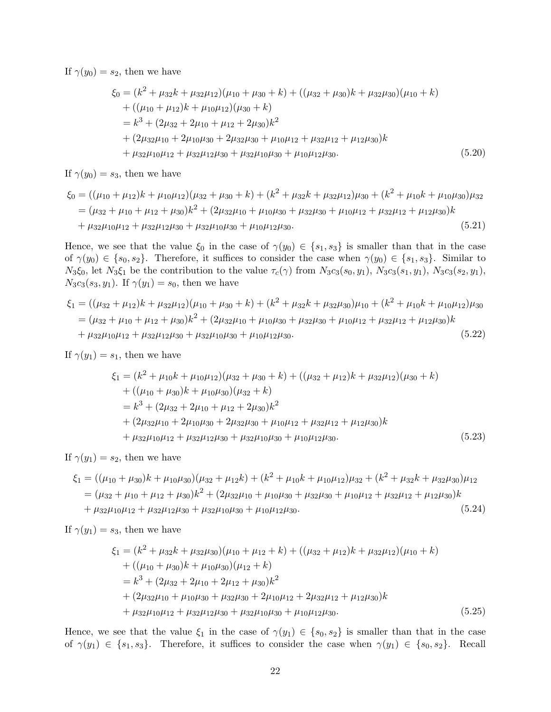If  $\gamma(y_0) = s_2$ , then we have

$$
\begin{aligned}\n\xi_0 &= (k^2 + \mu_{32}k + \mu_{32}\mu_{12})(\mu_{10} + \mu_{30} + k) + ((\mu_{32} + \mu_{30})k + \mu_{32}\mu_{30})(\mu_{10} + k) \\
&+ ((\mu_{10} + \mu_{12})k + \mu_{10}\mu_{12})(\mu_{30} + k) \\
&= k^3 + (2\mu_{32} + 2\mu_{10} + \mu_{12} + 2\mu_{30})k^2 \\
&+ (2\mu_{32}\mu_{10} + 2\mu_{10}\mu_{30} + 2\mu_{32}\mu_{30} + \mu_{10}\mu_{12} + \mu_{32}\mu_{12} + \mu_{12}\mu_{30})k \\
&+ \mu_{32}\mu_{10}\mu_{12} + \mu_{32}\mu_{12}\mu_{30} + \mu_{32}\mu_{10}\mu_{30} + \mu_{10}\mu_{12}\mu_{30}.\n\end{aligned} \tag{5.20}
$$

If  $\gamma(y_0) = s_3$ , then we have

$$
\xi_0 = ((\mu_{10} + \mu_{12})k + \mu_{10}\mu_{12})(\mu_{32} + \mu_{30} + k) + (k^2 + \mu_{32}k + \mu_{32}\mu_{12})\mu_{30} + (k^2 + \mu_{10}k + \mu_{10}\mu_{30})\mu_{32}
$$
  
=  $(\mu_{32} + \mu_{10} + \mu_{12} + \mu_{30})k^2 + (2\mu_{32}\mu_{10} + \mu_{10}\mu_{30} + \mu_{32}\mu_{30} + \mu_{10}\mu_{12} + \mu_{32}\mu_{12} + \mu_{12}\mu_{30})k$   
+  $\mu_{32}\mu_{10}\mu_{12} + \mu_{32}\mu_{12}\mu_{30} + \mu_{32}\mu_{10}\mu_{30} + \mu_{10}\mu_{12}\mu_{30}.$  (5.21)

Hence, we see that the value  $\xi_0$  in the case of  $\gamma(y_0) \in \{s_1, s_3\}$  is smaller than that in the case of  $\gamma(y_0) \in \{s_0, s_2\}$ . Therefore, it suffices to consider the case when  $\gamma(y_0) \in \{s_1, s_3\}$ . Similar to  $N_3\xi_0$ , let  $N_3\xi_1$  be the contribution to the value  $\tau_c(\gamma)$  from  $N_3c_3(s_0, y_1)$ ,  $N_3c_3(s_1, y_1)$ ,  $N_3c_3(s_2, y_1)$ ,  $N_3c_3(s_3, y_1)$ . If  $\gamma(y_1) = s_0$ , then we have

$$
\xi_1 = ((\mu_{32} + \mu_{12})k + \mu_{32}\mu_{12})(\mu_{10} + \mu_{30} + k) + (k^2 + \mu_{32}k + \mu_{32}\mu_{30})\mu_{10} + (k^2 + \mu_{10}k + \mu_{10}\mu_{12})\mu_{30}
$$
  
=  $(\mu_{32} + \mu_{10} + \mu_{12} + \mu_{30})k^2 + (2\mu_{32}\mu_{10} + \mu_{10}\mu_{30} + \mu_{32}\mu_{30} + \mu_{10}\mu_{12} + \mu_{32}\mu_{12} + \mu_{12}\mu_{30})k$   
+  $\mu_{32}\mu_{10}\mu_{12} + \mu_{32}\mu_{12}\mu_{30} + \mu_{32}\mu_{10}\mu_{30} + \mu_{10}\mu_{12}\mu_{30}.$  (5.22)

If  $\gamma(y_1) = s_1$ , then we have

$$
\xi_1 = (k^2 + \mu_{10}k + \mu_{10}\mu_{12})(\mu_{32} + \mu_{30} + k) + ((\mu_{32} + \mu_{12})k + \mu_{32}\mu_{12})(\mu_{30} + k)
$$
  
+ 
$$
((\mu_{10} + \mu_{30})k + \mu_{10}\mu_{30})(\mu_{32} + k)
$$
  
= 
$$
k^3 + (2\mu_{32} + 2\mu_{10} + \mu_{12} + 2\mu_{30})k^2
$$
  
+ 
$$
(2\mu_{32}\mu_{10} + 2\mu_{10}\mu_{30} + 2\mu_{32}\mu_{30} + \mu_{10}\mu_{12} + \mu_{32}\mu_{12} + \mu_{12}\mu_{30})k
$$
  
+ 
$$
\mu_{32}\mu_{10}\mu_{12} + \mu_{32}\mu_{12}\mu_{30} + \mu_{32}\mu_{10}\mu_{30} + \mu_{10}\mu_{12}\mu_{30}.
$$
 (5.23)

If  $\gamma(y_1) = s_2$ , then we have

$$
\xi_1 = ((\mu_{10} + \mu_{30})k + \mu_{10}\mu_{30})(\mu_{32} + \mu_{12}k) + (k^2 + \mu_{10}k + \mu_{10}\mu_{12})\mu_{32} + (k^2 + \mu_{32}k + \mu_{32}\mu_{30})\mu_{12}
$$
  
= (\mu\_{32} + \mu\_{10} + \mu\_{12} + \mu\_{30})k^2 + (2\mu\_{32}\mu\_{10} + \mu\_{10}\mu\_{30} + \mu\_{32}\mu\_{30} + \mu\_{10}\mu\_{12} + \mu\_{32}\mu\_{12} + \mu\_{12}\mu\_{30})k  
+ \mu\_{32}\mu\_{10}\mu\_{12} + \mu\_{32}\mu\_{12}\mu\_{30} + \mu\_{32}\mu\_{10}\mu\_{30} + \mu\_{10}\mu\_{12}\mu\_{30}. (5.24)

If  $\gamma(y_1) = s_3$ , then we have

$$
\xi_1 = (k^2 + \mu_{32}k + \mu_{32}\mu_{30})(\mu_{10} + \mu_{12} + k) + ((\mu_{32} + \mu_{12})k + \mu_{32}\mu_{12})(\mu_{10} + k)
$$
  
+  $((\mu_{10} + \mu_{30})k + \mu_{10}\mu_{30})(\mu_{12} + k)$   
=  $k^3 + (2\mu_{32} + 2\mu_{10} + 2\mu_{12} + \mu_{30})k^2$   
+  $(2\mu_{32}\mu_{10} + \mu_{10}\mu_{30} + \mu_{32}\mu_{30} + 2\mu_{10}\mu_{12} + 2\mu_{32}\mu_{12} + \mu_{12}\mu_{30})k$   
+  $\mu_{32}\mu_{10}\mu_{12} + \mu_{32}\mu_{12}\mu_{30} + \mu_{32}\mu_{10}\mu_{30} + \mu_{10}\mu_{12}\mu_{30}.$  (5.25)

Hence, we see that the value  $\xi_1$  in the case of  $\gamma(y_1) \in \{s_0, s_2\}$  is smaller than that in the case of  $\gamma(y_1) \in \{s_1, s_3\}$ . Therefore, it suffices to consider the case when  $\gamma(y_1) \in \{s_0, s_2\}$ . Recall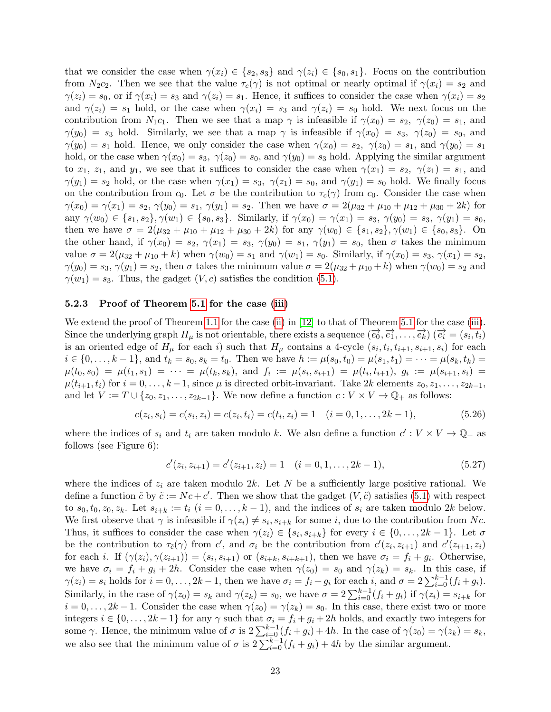that we consider the case when  $\gamma(x_i) \in \{s_2, s_3\}$  and  $\gamma(z_i) \in \{s_0, s_1\}$ . Focus on the contribution from  $N_2c_2$ . Then we see that the value  $\tau_c(\gamma)$  is not optimal or nearly optimal if  $\gamma(x_i) = s_2$  and  $\gamma(z_i) = s_0$ , or if  $\gamma(x_i) = s_3$  and  $\gamma(z_i) = s_1$ . Hence, it suffices to consider the case when  $\gamma(x_i) = s_2$ and  $\gamma(z_i) = s_1$  hold, or the case when  $\gamma(x_i) = s_3$  and  $\gamma(z_i) = s_0$  hold. We next focus on the contribution from  $N_1c_1$ . Then we see that a map  $\gamma$  is infeasible if  $\gamma(x_0) = s_2$ ,  $\gamma(z_0) = s_1$ , and  $\gamma(y_0) = s_3$  hold. Similarly, we see that a map  $\gamma$  is infeasible if  $\gamma(x_0) = s_3$ ,  $\gamma(z_0) = s_0$ , and  $\gamma(y_0) = s_1$  hold. Hence, we only consider the case when  $\gamma(x_0) = s_2$ ,  $\gamma(z_0) = s_1$ , and  $\gamma(y_0) = s_1$ hold, or the case when  $\gamma(x_0) = s_3$ ,  $\gamma(z_0) = s_0$ , and  $\gamma(y_0) = s_3$  hold. Applying the similar argument to  $x_1, z_1$ , and  $y_1$ , we see that it suffices to consider the case when  $\gamma(x_1) = s_2, \gamma(z_1) = s_1$ , and  $\gamma(y_1) = s_2$  hold, or the case when  $\gamma(x_1) = s_3$ ,  $\gamma(z_1) = s_0$ , and  $\gamma(y_1) = s_0$  hold. We finally focus on the contribution from  $c_0$ . Let  $\sigma$  be the contribution to  $\tau_c(\gamma)$  from  $c_0$ . Consider the case when  $\gamma(x_0) = \gamma(x_1) = s_2, \gamma(y_0) = s_1, \gamma(y_1) = s_2$ . Then we have  $\sigma = 2(\mu_{32} + \mu_{10} + \mu_{12} + \mu_{30} + 2k)$  for any  $\gamma(w_0) \in \{s_1, s_2\}, \gamma(w_1) \in \{s_0, s_3\}.$  Similarly, if  $\gamma(x_0) = \gamma(x_1) = s_3, \gamma(y_0) = s_3, \gamma(y_1) = s_0,$ then we have  $\sigma = 2(\mu_{32} + \mu_{10} + \mu_{12} + \mu_{30} + 2k)$  for any  $\gamma(w_0) \in \{s_1, s_2\}, \gamma(w_1) \in \{s_0, s_3\}.$  On the other hand, if  $\gamma(x_0) = s_2$ ,  $\gamma(x_1) = s_3$ ,  $\gamma(y_0) = s_1$ ,  $\gamma(y_1) = s_0$ , then  $\sigma$  takes the minimum value  $\sigma = 2(\mu_{32} + \mu_{10} + k)$  when  $\gamma(w_0) = s_1$  and  $\gamma(w_1) = s_0$ . Similarly, if  $\gamma(x_0) = s_3$ ,  $\gamma(x_1) = s_2$ ,  $\gamma(y_0) = s_3, \gamma(y_1) = s_2$ , then  $\sigma$  takes the minimum value  $\sigma = 2(\mu_{32} + \mu_{10} + k)$  when  $\gamma(w_0) = s_2$  and  $\gamma(w_1) = s_3$ . Thus, the gadget  $(V, c)$  satisfies the condition  $(5.1)$ .

#### 5.2.3 Proof of Theorem [5.1](#page-16-1) for the case [\(iii\)](#page-16-6)

We extend the proof of Theorem [1.1](#page-1-0) for the case [\(ii\)](#page-1-3) in [\[12\]](#page-24-6) to that of Theorem [5.1](#page-16-1) for the case [\(iii\)](#page-16-6). Since the underlying graph  $H_{\mu}$  is not orientable, there exists a sequence  $(\vec{e_0}, \vec{e_1}, \dots, \vec{e_k})$   $(\vec{e_i} = (s_i, t_i))$ is an oriented edge of  $H_\mu$  for each i) such that  $H_\mu$  contains a 4-cycle  $(s_i, t_i, t_{i+1}, s_{i+1}, s_i)$  for each  $i \in \{0, \ldots, k-1\}$ , and  $t_k = s_0, s_k = t_0$ . Then we have  $h := \mu(s_0, t_0) = \mu(s_1, t_1) = \cdots = \mu(s_k, t_k) =$  $\mu(t_0,s_0) \ = \ \mu(t_1,s_1) \ = \ \cdots \ = \ \mu(t_k,s_k), \ \ {\rm and} \ \ f_i \ := \ \mu(s_i,s_{i+1}) \ = \ \mu(t_i,t_{i+1}), \ \ g_i \ := \ \mu(s_{i+1},s_i) \ =$  $\mu(t_{i+1}, t_i)$  for  $i = 0, \ldots, k-1$ , since  $\mu$  is directed orbit-invariant. Take 2k elements  $z_0, z_1, \ldots, z_{2k-1}$ , and let  $V := T \cup \{z_0, z_1, \ldots, z_{2k-1}\}.$  We now define a function  $c : V \times V \to \mathbb{Q}_+$  as follows:

$$
c(z_i, s_i) = c(s_i, z_i) = c(z_i, t_i) = c(t_i, z_i) = 1 \quad (i = 0, 1, \dots, 2k - 1),
$$
\n
$$
(5.26)
$$

where the indices of  $s_i$  and  $t_i$  are taken modulo k. We also define a function  $c': V \times V \to \mathbb{Q}_+$  as follows (see Figure 6):

$$
c'(z_i, z_{i+1}) = c'(z_{i+1}, z_i) = 1 \quad (i = 0, 1, \dots, 2k - 1),
$$
\n(5.27)

where the indices of  $z_i$  are taken modulo 2k. Let N be a sufficiently large positive rational. We define a function  $\tilde{c}$  by  $\tilde{c} := Nc + c'$ . Then we show that the gadget  $(V, \tilde{c})$  satisfies [\(5.1\)](#page-15-2) with respect to  $s_0, t_0, z_0, z_k$ . Let  $s_{i+k} := t_i$   $(i = 0, \ldots, k-1)$ , and the indices of  $s_i$  are taken modulo 2k below. We first observe that  $\gamma$  is infeasible if  $\gamma(z_i) \neq s_i, s_{i+k}$  for some i, due to the contribution from Nc. Thus, it suffices to consider the case when  $\gamma(z_i) \in \{s_i, s_{i+k}\}\$ for every  $i \in \{0, \ldots, 2k-1\}$ . Let  $\sigma$ be the contribution to  $\tau_{\tilde{c}}(\gamma)$  from c', and  $\sigma_i$  be the contribution from  $c'(z_i, z_{i+1})$  and  $c'(z_{i+1}, z_i)$ for each *i*. If  $(\gamma(z_i), \gamma(z_{i+1})) = (s_i, s_{i+1})$  or  $(s_{i+k}, s_{i+k+1})$ , then we have  $\sigma_i = f_i + g_i$ . Otherwise, we have  $\sigma_i = f_i + g_i + 2h$ . Consider the case when  $\gamma(z_0) = s_0$  and  $\gamma(z_k) = s_k$ . In this case, if  $\gamma(z_i) = s_i$  holds for  $i = 0, \ldots, 2k - 1$ , then we have  $\sigma_i = f_i + g_i$  for each i, and  $\sigma = 2\sum_{i=0}^{k-1}(f_i + g_i)$ . Similarly, in the case of  $\gamma(z_0) = s_k$  and  $\gamma(z_k) = s_0$ , we have  $\sigma = 2\sum_{i=0}^{k-1} (f_i + g_i)$  if  $\gamma(z_i) = s_{i+k}$  for  $i = 0, \ldots, 2k - 1$ . Consider the case when  $\gamma(z_0) = \gamma(z_k) = s_0$ . In this case, there exist two or more integers  $i \in \{0, \ldots, 2k-1\}$  for any  $\gamma$  such that  $\sigma_i = f_i + g_i + 2h$  holds, and exactly two integers for some  $\gamma$ . Hence, the minimum value of  $\sigma$  is  $2\sum_{i=0}^{k-1}(f_i+g_i)+4h$ . In the case of  $\gamma(z_0)=\gamma(z_k)=s_k$ , we also see that the minimum value of  $\sigma$  is  $2\sum_{i=0}^{k-1}(f_i+g_i)+4h$  by the similar argument.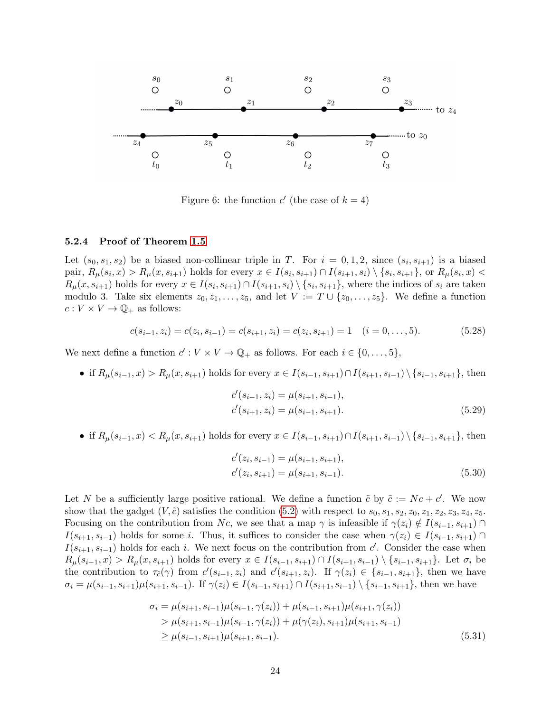

Figure 6: the function  $c'$  (the case of  $k = 4$ )

#### 5.2.4 Proof of Theorem [1.5](#page-3-2)

Let  $(s_0, s_1, s_2)$  be a biased non-collinear triple in T. For  $i = 0, 1, 2$ , since  $(s_i, s_{i+1})$  is a biased pair,  $R_{\mu}(s_i, x) > R_{\mu}(x, s_{i+1})$  holds for every  $x \in I(s_i, s_{i+1}) \cap I(s_{i+1}, s_i) \setminus \{s_i, s_{i+1}\}$ , or  $R_{\mu}(s_i, x) <$  $R_\mu(x, s_{i+1})$  holds for every  $x \in I(s_i, s_{i+1}) \cap I(s_{i+1}, s_i) \setminus \{s_i, s_{i+1}\},$  where the indices of  $s_i$  are taken modulo 3. Take six elements  $z_0, z_1, \ldots, z_5$ , and let  $V := T \cup \{z_0, \ldots, z_5\}$ . We define a function  $c: V \times V \rightarrow \mathbb{Q}_+$  as follows:

$$
c(s_{i-1}, z_i) = c(z_i, s_{i-1}) = c(s_{i+1}, z_i) = c(z_i, s_{i+1}) = 1 \quad (i = 0, ..., 5).
$$
 (5.28)

We next define a function  $c': V \times V \to \mathbb{Q}_+$  as follows. For each  $i \in \{0, \ldots, 5\}$ ,

• if  $R_\mu(s_{i-1}, x) > R_\mu(x, s_{i+1})$  holds for every  $x \in I(s_{i-1}, s_{i+1}) \cap I(s_{i+1}, s_{i-1}) \setminus \{s_{i-1}, s_{i+1}\}\$ , then

$$
c'(s_{i-1}, z_i) = \mu(s_{i+1}, s_{i-1}),
$$
  
\n
$$
c'(s_{i+1}, z_i) = \mu(s_{i-1}, s_{i+1}).
$$
\n(5.29)

• if  $R_\mu(s_{i-1}, x) < R_\mu(x, s_{i+1})$  holds for every  $x \in I(s_{i-1}, s_{i+1}) \cap I(s_{i+1}, s_{i-1}) \setminus \{s_{i-1}, s_{i+1}\}\$ , then

$$
c'(z_i, s_{i-1}) = \mu(s_{i-1}, s_{i+1}),
$$
  
\n
$$
c'(z_i, s_{i+1}) = \mu(s_{i+1}, s_{i-1}).
$$
\n(5.30)

Let N be a sufficiently large positive rational. We define a function  $\tilde{c}$  by  $\tilde{c} := Nc + c'$ . We now show that the gadget  $(V, \tilde{c})$  satisfies the condition [\(5.2\)](#page-16-3) with respect to  $s_0, s_1, s_2, z_0, z_1, z_2, z_3, z_4, z_5$ . Focusing on the contribution from Nc, we see that a map  $\gamma$  is infeasible if  $\gamma(z_i) \notin I(s_{i-1}, s_{i+1}) \cap$  $I(s_{i+1}, s_{i-1})$  holds for some i. Thus, it suffices to consider the case when  $\gamma(z_i) \in I(s_{i-1}, s_{i+1}) \cap I$  $I(s_{i+1}, s_{i-1})$  holds for each i. We next focus on the contribution from c'. Consider the case when  $R_\mu(s_{i-1}, x) > R_\mu(x, s_{i+1})$  holds for every  $x \in I(s_{i-1}, s_{i+1}) \cap I(s_{i+1}, s_{i-1}) \setminus \{s_{i-1}, s_{i+1}\}.$  Let  $\sigma_i$  be the contribution to  $\tau_{\tilde{c}}(\gamma)$  from  $c'(s_{i-1}, z_i)$  and  $c'(s_{i+1}, z_i)$ . If  $\gamma(z_i) \in \{s_{i-1}, s_{i+1}\}$ , then we have  $\sigma_i = \mu(s_{i-1}, s_{i+1})\mu(s_{i+1}, s_{i-1})$ . If  $\gamma(z_i) \in I(s_{i-1}, s_{i+1}) \cap I(s_{i+1}, s_{i-1}) \setminus \{s_{i-1}, s_{i+1}\}$ , then we have

$$
\sigma_i = \mu(s_{i+1}, s_{i-1})\mu(s_{i-1}, \gamma(z_i)) + \mu(s_{i-1}, s_{i+1})\mu(s_{i+1}, \gamma(z_i))
$$
  
> 
$$
\mu(s_{i+1}, s_{i-1})\mu(s_{i-1}, \gamma(z_i)) + \mu(\gamma(z_i), s_{i+1})\mu(s_{i+1}, s_{i-1})
$$
  

$$
\geq \mu(s_{i-1}, s_{i+1})\mu(s_{i+1}, s_{i-1}).
$$
 (5.31)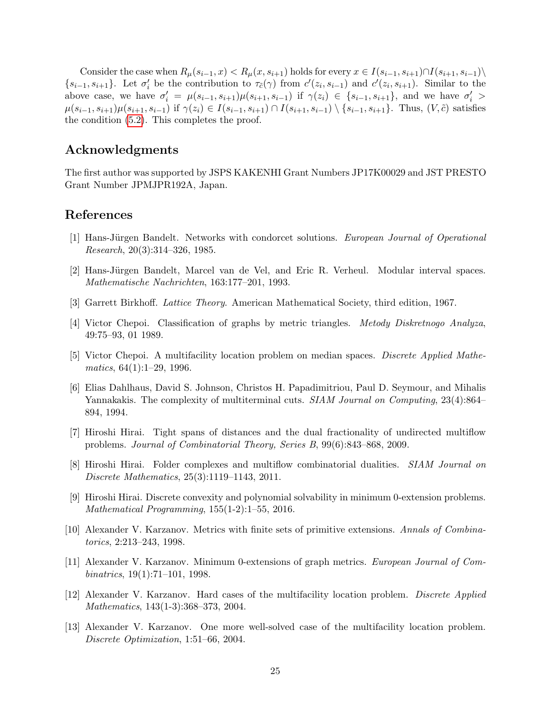Consider the case when  $R_\mu(s_{i-1},x) < R_\mu(x,s_{i+1})$  holds for every  $x \in I(s_{i-1},s_{i+1}) \cap I(s_{i+1},s_{i-1})$  $\{s_{i-1}, s_{i+1}\}\.$  Let  $\sigma'_i$  be the contribution to  $\tau_{\tilde{c}}(\gamma)$  from  $c'(z_i, s_{i-1})$  and  $c'(z_i, s_{i+1})$ . Similar to the above case, we have  $\sigma'_i = \mu(s_{i-1}, s_{i+1})\mu(s_{i+1}, s_{i-1})$  if  $\gamma(z_i) \in \{s_{i-1}, s_{i+1}\}\$ , and we have  $\sigma'_i$  $\mu(s_{i-1}, s_{i+1})\mu(s_{i+1}, s_{i-1})$  if  $\gamma(z_i) \in I(s_{i-1}, s_{i+1}) \cap I(s_{i+1}, s_{i-1}) \setminus \{s_{i-1}, s_{i+1}\}.$  Thus,  $(V, \tilde{c})$  satisfies the condition [\(5.2\)](#page-16-3). This completes the proof.

## Acknowledgments

The first author was supported by JSPS KAKENHI Grant Numbers JP17K00029 and JST PRESTO Grant Number JPMJPR192A, Japan.

## References

- <span id="page-24-8"></span>[1] Hans-Jürgen Bandelt. Networks with condorcet solutions. *European Journal of Operational* Research, 20(3):314–326, 1985.
- <span id="page-24-10"></span>[2] Hans-Jürgen Bandelt, Marcel van de Vel, and Eric R. Verheul. Modular interval spaces. Mathematische Nachrichten, 163:177–201, 1993.
- <span id="page-24-12"></span>[3] Garrett Birkhoff. Lattice Theory. American Mathematical Society, third edition, 1967.
- <span id="page-24-11"></span>[4] Victor Chepoi. Classification of graphs by metric triangles. Metody Diskretnogo Analyza, 49:75–93, 01 1989.
- <span id="page-24-4"></span>[5] Victor Chepoi. A multifacility location problem on median spaces. Discrete Applied Mathe $matics, 64(1):1-29, 1996.$
- <span id="page-24-9"></span>[6] Elias Dahlhaus, David S. Johnson, Christos H. Papadimitriou, Paul D. Seymour, and Mihalis Yannakakis. The complexity of multiterminal cuts. SIAM Journal on Computing, 23(4):864– 894, 1994.
- <span id="page-24-2"></span>[7] Hiroshi Hirai. Tight spans of distances and the dual fractionality of undirected multiflow problems. Journal of Combinatorial Theory, Series B, 99(6):843–868, 2009.
- <span id="page-24-3"></span>[8] Hiroshi Hirai. Folder complexes and multiflow combinatorial dualities. SIAM Journal on Discrete Mathematics, 25(3):1119–1143, 2011.
- <span id="page-24-7"></span>[9] Hiroshi Hirai. Discrete convexity and polynomial solvability in minimum 0-extension problems. Mathematical Programming, 155(1-2):1–55, 2016.
- <span id="page-24-1"></span>[10] Alexander V. Karzanov. Metrics with finite sets of primitive extensions. Annals of Combinatorics, 2:213–243, 1998.
- <span id="page-24-0"></span>[11] Alexander V. Karzanov. Minimum 0-extensions of graph metrics. European Journal of Combinatrics, 19(1):71–101, 1998.
- <span id="page-24-6"></span>[12] Alexander V. Karzanov. Hard cases of the multifacility location problem. Discrete Applied Mathematics, 143(1-3):368–373, 2004.
- <span id="page-24-5"></span>[13] Alexander V. Karzanov. One more well-solved case of the multifacility location problem. Discrete Optimization, 1:51–66, 2004.